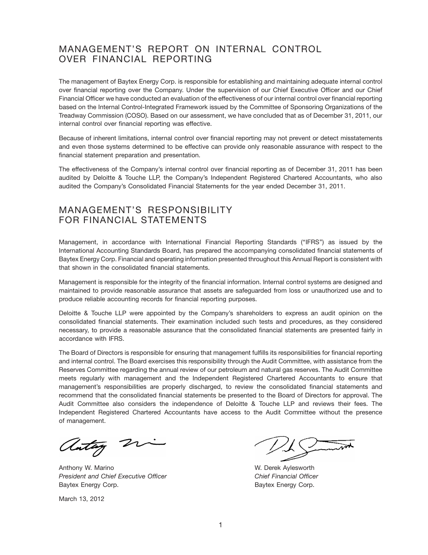# MANAGEMENT'S REPORT ON INTERNAL CONTROL OVER FINANCIAL REPORTING

The management of Baytex Energy Corp. is responsible for establishing and maintaining adequate internal control over financial reporting over the Company. Under the supervision of our Chief Executive Officer and our Chief Financial Officer we have conducted an evaluation of the effectiveness of our internal control over financial reporting based on the Internal Control-Integrated Framework issued by the Committee of Sponsoring Organizations of the Treadway Commission (COSO). Based on our assessment, we have concluded that as of December 31, 2011, our internal control over financial reporting was effective.

Because of inherent limitations, internal control over financial reporting may not prevent or detect misstatements and even those systems determined to be effective can provide only reasonable assurance with respect to the financial statement preparation and presentation.

The effectiveness of the Company's internal control over financial reporting as of December 31, 2011 has been audited by Deloitte & Touche LLP, the Company's Independent Registered Chartered Accountants, who also audited the Company's Consolidated Financial Statements for the year ended December 31, 2011.

# MANAGEMENT'S RESPONSIBILITY FOR FINANCIAL STATEMENTS

Management, in accordance with International Financial Reporting Standards (''IFRS'') as issued by the International Accounting Standards Board, has prepared the accompanying consolidated financial statements of Baytex Energy Corp. Financial and operating information presented throughout this Annual Report is consistent with that shown in the consolidated financial statements.

Management is responsible for the integrity of the financial information. Internal control systems are designed and maintained to provide reasonable assurance that assets are safeguarded from loss or unauthorized use and to produce reliable accounting records for financial reporting purposes.

Deloitte & Touche LLP were appointed by the Company's shareholders to express an audit opinion on the consolidated financial statements. Their examination included such tests and procedures, as they considered necessary, to provide a reasonable assurance that the consolidated financial statements are presented fairly in accordance with IFRS.

The Board of Directors is responsible for ensuring that management fulfills its responsibilities for financial reporting and internal control. The Board exercises this responsibility through the Audit Committee, with assistance from the Reserves Committee regarding the annual review of our petroleum and natural gas reserves. The Audit Committee meets regularly with management and the Independent Registered Chartered Accountants to ensure that management's responsibilities are properly discharged, to review the consolidated financial statements and recommend that the consolidated financial statements be presented to the Board of Directors for approval. The Audit Committee also considers the independence of Deloitte & Touche LLP and reviews their fees. The Independent Registered Chartered Accountants have access to the Audit Committee without the presence of management.

Anthony W. Marino **W. Anthony W. Derek Aylesworth** *President and Chief Executive Officer Chief Financial Officer* Baytex Energy Corp. **Baytex Energy Corp. Baytex Energy Corp. Baytex Energy Corp.** 

March 13, 2012

18MAR20091608315 12MAR200921608315 12MAR2009315 12MAR2009315 12MAR2009215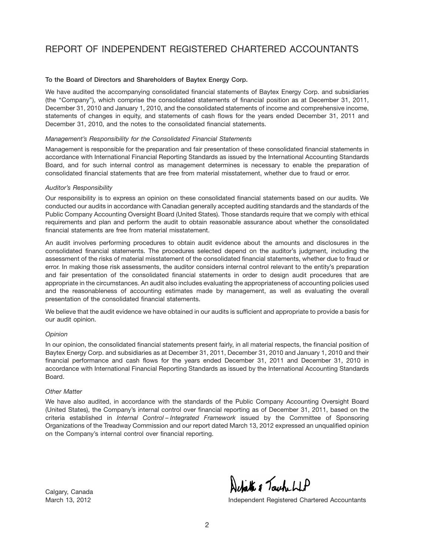# REPORT OF INDEPENDENT REGISTERED CHARTERED ACCOUNTANTS

#### **To the Board of Directors and Shareholders of Baytex Energy Corp.**

We have audited the accompanying consolidated financial statements of Baytex Energy Corp. and subsidiaries (the ''Company''), which comprise the consolidated statements of financial position as at December 31, 2011, December 31, 2010 and January 1, 2010, and the consolidated statements of income and comprehensive income, statements of changes in equity, and statements of cash flows for the years ended December 31, 2011 and December 31, 2010, and the notes to the consolidated financial statements.

#### *Management's Responsibility for the Consolidated Financial Statements*

Management is responsible for the preparation and fair presentation of these consolidated financial statements in accordance with International Financial Reporting Standards as issued by the International Accounting Standards Board, and for such internal control as management determines is necessary to enable the preparation of consolidated financial statements that are free from material misstatement, whether due to fraud or error.

#### *Auditor's Responsibility*

Our responsibility is to express an opinion on these consolidated financial statements based on our audits. We conducted our audits in accordance with Canadian generally accepted auditing standards and the standards of the Public Company Accounting Oversight Board (United States). Those standards require that we comply with ethical requirements and plan and perform the audit to obtain reasonable assurance about whether the consolidated financial statements are free from material misstatement.

An audit involves performing procedures to obtain audit evidence about the amounts and disclosures in the consolidated financial statements. The procedures selected depend on the auditor's judgment, including the assessment of the risks of material misstatement of the consolidated financial statements, whether due to fraud or error. In making those risk assessments, the auditor considers internal control relevant to the entity's preparation and fair presentation of the consolidated financial statements in order to design audit procedures that are appropriate in the circumstances. An audit also includes evaluating the appropriateness of accounting policies used and the reasonableness of accounting estimates made by management, as well as evaluating the overall presentation of the consolidated financial statements.

We believe that the audit evidence we have obtained in our audits is sufficient and appropriate to provide a basis for our audit opinion.

#### *Opinion*

In our opinion, the consolidated financial statements present fairly, in all material respects, the financial position of Baytex Energy Corp. and subsidiaries as at December 31, 2011, December 31, 2010 and January 1, 2010 and their financial performance and cash flows for the years ended December 31, 2011 and December 31, 2010 in accordance with International Financial Reporting Standards as issued by the International Accounting Standards Board.

#### *Other Matter*

We have also audited, in accordance with the standards of the Public Company Accounting Oversight Board (United States), the Company's internal control over financial reporting as of December 31, 2011, based on the criteria established in *Internal Control – Integrated Framework* issued by the Committee of Sponsoring Organizations of the Treadway Commission and our report dated March 13, 2012 expressed an unqualified opinion on the Company's internal control over financial reporting.

Calgary, Canada

15Marcon 15Marcon 15Marcon 15Marcon 15Marcon 15Marcon 15Marcon 15Marcon 15Marcon 15Marcon 15Marcon 15Marcon 15<br>15Marcon 15Marcon 15Marcon 15Marcon 15Marcon 15Marcon 15Marcon 15Marcon 15Marcon 15Marcon 15Marcon 15Marcon 1

March 13, 2012 **Independent Registered Chartered Accountants**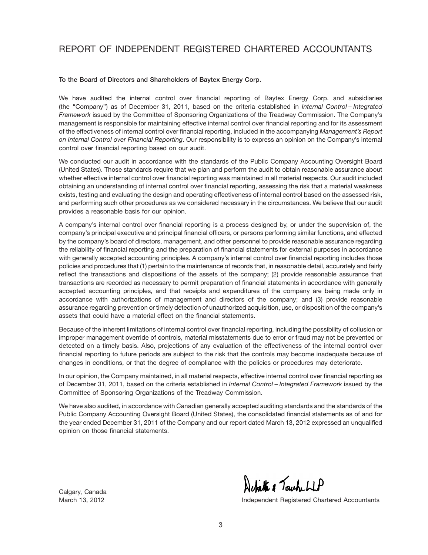# REPORT OF INDEPENDENT REGISTERED CHARTERED ACCOUNTANTS

#### **To the Board of Directors and Shareholders of Baytex Energy Corp.**

We have audited the internal control over financial reporting of Baytex Energy Corp. and subsidiaries (the ''Company'') as of December 31, 2011, based on the criteria established in *Internal Control – Integrated Framework* issued by the Committee of Sponsoring Organizations of the Treadway Commission. The Company's management is responsible for maintaining effective internal control over financial reporting and for its assessment of the effectiveness of internal control over financial reporting, included in the accompanying *Management's Report on Internal Control over Financial Reporting*. Our responsibility is to express an opinion on the Company's internal control over financial reporting based on our audit.

We conducted our audit in accordance with the standards of the Public Company Accounting Oversight Board (United States). Those standards require that we plan and perform the audit to obtain reasonable assurance about whether effective internal control over financial reporting was maintained in all material respects. Our audit included obtaining an understanding of internal control over financial reporting, assessing the risk that a material weakness exists, testing and evaluating the design and operating effectiveness of internal control based on the assessed risk, and performing such other procedures as we considered necessary in the circumstances. We believe that our audit provides a reasonable basis for our opinion.

A company's internal control over financial reporting is a process designed by, or under the supervision of, the company's principal executive and principal financial officers, or persons performing similar functions, and effected by the company's board of directors, management, and other personnel to provide reasonable assurance regarding the reliability of financial reporting and the preparation of financial statements for external purposes in accordance with generally accepted accounting principles. A company's internal control over financial reporting includes those policies and procedures that (1) pertain to the maintenance of records that, in reasonable detail, accurately and fairly reflect the transactions and dispositions of the assets of the company; (2) provide reasonable assurance that transactions are recorded as necessary to permit preparation of financial statements in accordance with generally accepted accounting principles, and that receipts and expenditures of the company are being made only in accordance with authorizations of management and directors of the company; and (3) provide reasonable assurance regarding prevention or timely detection of unauthorized acquisition, use, or disposition of the company's assets that could have a material effect on the financial statements.

Because of the inherent limitations of internal control over financial reporting, including the possibility of collusion or improper management override of controls, material misstatements due to error or fraud may not be prevented or detected on a timely basis. Also, projections of any evaluation of the effectiveness of the internal control over financial reporting to future periods are subject to the risk that the controls may become inadequate because of changes in conditions, or that the degree of compliance with the policies or procedures may deteriorate.

In our opinion, the Company maintained, in all material respects, effective internal control over financial reporting as of December 31, 2011, based on the criteria established in *Internal Control – Integrated Framework* issued by the Committee of Sponsoring Organizations of the Treadway Commission.

We have also audited, in accordance with Canadian generally accepted auditing standards and the standards of the Public Company Accounting Oversight Board (United States), the consolidated financial statements as of and for the year ended December 31, 2011 of the Company and our report dated March 13, 2012 expressed an unqualified opinion on those financial statements.

Calgary, Canada

Detatte & Touche LLP

March 13, 2012 **Independent Registered Chartered Accountants**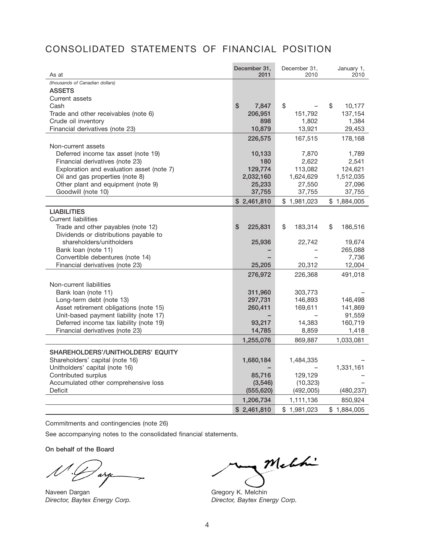# CONSOLIDATED STATEMENTS OF FINANCIAL POSITION

| As at                                     | December 31,<br>2011 | December 31,<br>2010 | January 1,<br>2010 |
|-------------------------------------------|----------------------|----------------------|--------------------|
| (thousands of Canadian dollars)           |                      |                      |                    |
| <b>ASSETS</b>                             |                      |                      |                    |
| Current assets                            |                      |                      |                    |
| Cash                                      | \$<br>7,847          | \$                   | \$<br>10,177       |
| Trade and other receivables (note 6)      | 206,951              | 151,792              | 137,154            |
| Crude oil inventory                       | 898                  | 1,802                | 1,384              |
| Financial derivatives (note 23)           | 10,879               | 13,921               | 29,453             |
|                                           |                      |                      |                    |
|                                           | 226,575              | 167,515              | 178,168            |
| Non-current assets                        |                      |                      |                    |
| Deferred income tax asset (note 19)       | 10,133               | 7,870                | 1,789              |
| Financial derivatives (note 23)           | 180                  | 2,622                | 2,541              |
| Exploration and evaluation asset (note 7) | 129,774              | 113,082              | 124,621            |
| Oil and gas properties (note 8)           | 2,032,160            | 1,624,629            | 1,512,035          |
| Other plant and equipment (note 9)        | 25,233               | 27,550               | 27,096             |
| Goodwill (note 10)                        | 37,755               | 37,755               | 37,755             |
|                                           | \$2,461,810          | \$1,981,023          | \$1,884,005        |
| <b>LIABILITIES</b>                        |                      |                      |                    |
| <b>Current liabilities</b>                |                      |                      |                    |
| Trade and other payables (note 12)        | \$<br>225,831        | \$<br>183,314        | \$<br>186,516      |
| Dividends or distributions payable to     |                      |                      |                    |
| shareholders/unitholders                  | 25,936               | 22,742               | 19,674             |
| Bank loan (note 11)                       |                      |                      | 265,088            |
| Convertible debentures (note 14)          |                      |                      | 7,736              |
| Financial derivatives (note 23)           | 25,205               | 20,312               | 12,004             |
|                                           | 276,972              | 226,368              | 491,018            |
| Non-current liabilities                   |                      |                      |                    |
| Bank loan (note 11)                       | 311,960              | 303,773              |                    |
| Long-term debt (note 13)                  | 297,731              | 146,893              | 146,498            |
| Asset retirement obligations (note 15)    | 260,411              | 169,611              | 141,869            |
| Unit-based payment liability (note 17)    |                      |                      | 91,559             |
| Deferred income tax liability (note 19)   | 93,217               | 14,383               | 160,719            |
| Financial derivatives (note 23)           | 14,785               |                      | 1,418              |
|                                           |                      | 8,859                |                    |
|                                           | 1,255,076            | 869,887              | 1,033,081          |
| SHAREHOLDERS'/UNITHOLDERS' EQUITY         |                      |                      |                    |
| Shareholders' capital (note 16)           | 1,680,184            | 1,484,335            |                    |
| Unitholders' capital (note 16)            |                      |                      | 1,331,161          |
| Contributed surplus                       | 85,716               | 129,129              |                    |
| Accumulated other comprehensive loss      | (3,546)              | (10, 323)            |                    |
| Deficit                                   | (555, 620)           | (492,005)            | (480, 237)         |
|                                           | 1,206,734            | 1,111,136            | 850,924            |
|                                           | \$2,461,810          | \$1,981,023          | \$1,884,005        |
|                                           |                      |                      |                    |

Commitments and contingencies (note 26)

See accompanying notes to the consolidated financial statements.

**On behalf of the Board**

arx

Naveen Dargan Gregory K. Melchin<br>
Director, Baytex Energy Corp. Communication of Director, Baytex Energy Corp.

Melchi  $17$ Mar $2$ o $2$ 3219 18 $2$ 

*Director, Baytex Energy Corp.*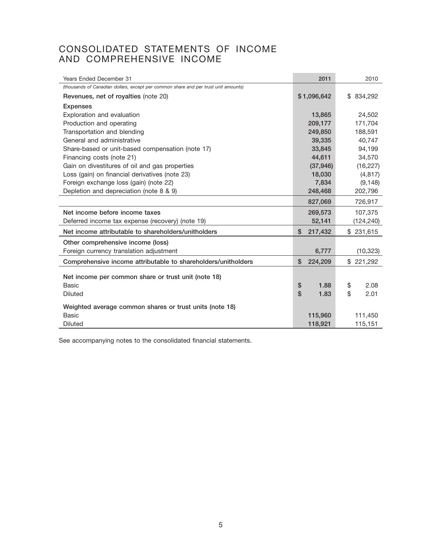# CONSOLIDATED STATEMENTS OF INCOME AND COMPREHENSIVE INCOME

| Years Ended December 31                                                             | 2011             | 2010             |
|-------------------------------------------------------------------------------------|------------------|------------------|
| (thousands of Canadian dollars, except per common share and per trust unit amounts) |                  |                  |
| Revenues, net of royalties (note 20)                                                | \$1,096,642      | 834,292<br>\$    |
| <b>Expenses</b>                                                                     |                  |                  |
| Exploration and evaluation                                                          | 13,865           | 24,502           |
| Production and operating                                                            | 209,177          | 171,704          |
| Transportation and blending                                                         | 249,850          | 188,591          |
| General and administrative                                                          | 39,335           | 40,747           |
| Share-based or unit-based compensation (note 17)                                    | 33,845           | 94,199           |
| Financing costs (note 21)                                                           | 44,611           | 34,570           |
| Gain on divestitures of oil and gas properties                                      | (37, 946)        | (16, 227)        |
| Loss (gain) on financial derivatives (note 23)                                      | 18,030           | (4, 817)         |
| Foreign exchange loss (gain) (note 22)                                              | 7,834            | (9, 148)         |
| Depletion and depreciation (note 8 & 9)                                             | 248,468          | 202,796          |
|                                                                                     | 827,069          | 726,917          |
| Net income before income taxes                                                      | 269,573          | 107,375          |
| Deferred income tax expense (recovery) (note 19)                                    | 52,141           | (124, 240)       |
| Net income attributable to shareholders/unitholders                                 | \$<br>217,432    | \$231,615        |
| Other comprehensive income (loss)                                                   |                  |                  |
| Foreign currency translation adjustment                                             | 6,777            | (10, 323)        |
| Comprehensive income attributable to shareholders/unitholders                       | 224,209<br>\$    | \$221,292        |
|                                                                                     |                  |                  |
| Net income per common share or trust unit (note 18)<br><b>Basic</b>                 | 1.88             | 2.08             |
|                                                                                     | \$<br>\$<br>1.83 | \$<br>\$<br>2.01 |
| <b>Diluted</b>                                                                      |                  |                  |
| Weighted average common shares or trust units (note 18)                             |                  |                  |
| Basic                                                                               | 115,960          | 111,450          |
| <b>Diluted</b>                                                                      | 118,921          | 115,151          |

See accompanying notes to the consolidated financial statements.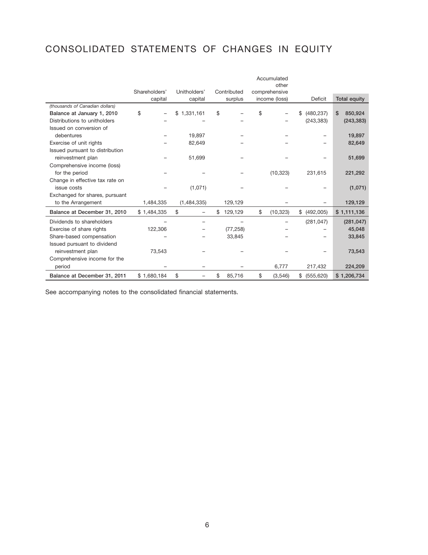# CONSOLIDATED STATEMENTS OF CHANGES IN EQUITY

|                                 | Shareholders' | Unitholders'            | Contributed   | Accumulated<br>other<br>comprehensive |                  |                     |
|---------------------------------|---------------|-------------------------|---------------|---------------------------------------|------------------|---------------------|
|                                 | capital       | capital                 | surplus       | income (loss)                         | Deficit          | <b>Total equity</b> |
| (thousands of Canadian dollars) |               |                         |               |                                       |                  |                     |
| Balance at January 1, 2010      | \$            | \$1,331,161             | \$            | \$                                    | (480, 237)<br>\$ | \$<br>850,924       |
| Distributions to unitholders    |               |                         |               |                                       | (243, 383)       | (243, 383)          |
| Issued on conversion of         |               |                         |               |                                       |                  |                     |
| debentures                      |               | 19.897                  |               |                                       |                  | 19,897              |
| Exercise of unit rights         |               | 82,649                  |               |                                       |                  | 82,649              |
| Issued pursuant to distribution |               |                         |               |                                       |                  |                     |
| reinvestment plan               |               | 51,699                  |               |                                       |                  | 51,699              |
| Comprehensive income (loss)     |               |                         |               |                                       |                  |                     |
| for the period                  |               |                         |               | (10, 323)                             | 231,615          | 221,292             |
| Change in effective tax rate on |               |                         |               |                                       |                  |                     |
| issue costs                     |               | (1,071)                 |               |                                       |                  | (1,071)             |
| Exchanged for shares, pursuant  |               |                         |               |                                       |                  |                     |
| to the Arrangement              | 1,484,335     | (1,484,335)             | 129,129       |                                       |                  | 129,129             |
| Balance at December 31, 2010    | \$1,484,335   | \$<br>$\qquad \qquad -$ | \$<br>129,129 | \$<br>(10, 323)                       | \$<br>(492,005)  | \$1,111,136         |
| Dividends to shareholders       |               |                         |               |                                       | (281, 047)       | (281, 047)          |
| Exercise of share rights        | 122,306       |                         | (77, 258)     |                                       |                  | 45,048              |
| Share-based compensation        |               |                         | 33,845        |                                       |                  | 33,845              |
| Issued pursuant to dividend     |               |                         |               |                                       |                  |                     |
| reinvestment plan               | 73,543        |                         |               |                                       |                  | 73,543              |
| Comprehensive income for the    |               |                         |               |                                       |                  |                     |
| period                          |               |                         |               | 6,777                                 | 217,432          | 224,209             |
| Balance at December 31, 2011    | \$1,680,184   | \$                      | \$<br>85,716  | \$<br>(3,546)                         | (555, 620)<br>\$ | \$1,206,734         |

See accompanying notes to the consolidated financial statements.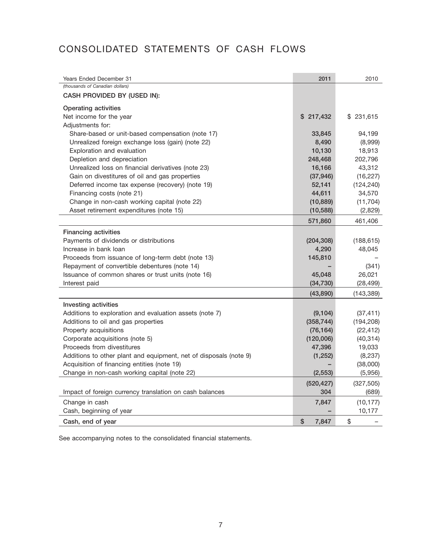# CONSOLIDATED STATEMENTS OF CASH FLOWS

| Years Ended December 31                                           | 2011        | 2010       |
|-------------------------------------------------------------------|-------------|------------|
| (thousands of Canadian dollars)                                   |             |            |
| CASH PROVIDED BY (USED IN):                                       |             |            |
| <b>Operating activities</b>                                       |             |            |
| Net income for the year                                           | \$217,432   | \$231,615  |
| Adjustments for:                                                  |             |            |
| Share-based or unit-based compensation (note 17)                  | 33,845      | 94,199     |
| Unrealized foreign exchange loss (gain) (note 22)                 | 8,490       | (8,999)    |
| Exploration and evaluation                                        | 10,130      | 18,913     |
| Depletion and depreciation                                        | 248,468     | 202,796    |
| Unrealized loss on financial derivatives (note 23)                | 16,166      | 43,312     |
| Gain on divestitures of oil and gas properties                    | (37, 946)   | (16, 227)  |
| Deferred income tax expense (recovery) (note 19)                  | 52,141      | (124, 240) |
| Financing costs (note 21)                                         | 44,611      | 34,570     |
| Change in non-cash working capital (note 22)                      | (10, 889)   | (11, 704)  |
| Asset retirement expenditures (note 15)                           | (10, 588)   | (2,829)    |
|                                                                   | 571,860     | 461,406    |
| <b>Financing activities</b>                                       |             |            |
| Payments of dividends or distributions                            | (204, 308)  | (188, 615) |
| Increase in bank loan                                             | 4,290       | 48,045     |
| Proceeds from issuance of long-term debt (note 13)                | 145,810     |            |
| Repayment of convertible debentures (note 14)                     |             | (341)      |
| Issuance of common shares or trust units (note 16)                | 45,048      | 26,021     |
| Interest paid                                                     | (34, 730)   | (28, 499)  |
|                                                                   | (43, 890)   | (143, 389) |
| Investing activities                                              |             |            |
| Additions to exploration and evaluation assets (note 7)           | (9, 104)    | (37, 411)  |
| Additions to oil and gas properties                               | (358, 744)  | (194, 208) |
| Property acquisitions                                             | (76, 164)   | (22, 412)  |
| Corporate acquisitions (note 5)                                   | (120,006)   | (40, 314)  |
| Proceeds from divestitures                                        | 47,396      | 19,033     |
| Additions to other plant and equipment, net of disposals (note 9) | (1, 252)    | (8, 237)   |
| Acquisition of financing entities (note 19)                       |             | (38,000)   |
| Change in non-cash working capital (note 22)                      | (2, 553)    | (5,956)    |
|                                                                   | (520, 427)  | (327, 505) |
| Impact of foreign currency translation on cash balances           | 304         | (689)      |
| Change in cash                                                    | 7,847       | (10, 177)  |
| Cash, beginning of year                                           |             | 10,177     |
| Cash, end of year                                                 | \$<br>7,847 | \$         |

See accompanying notes to the consolidated financial statements.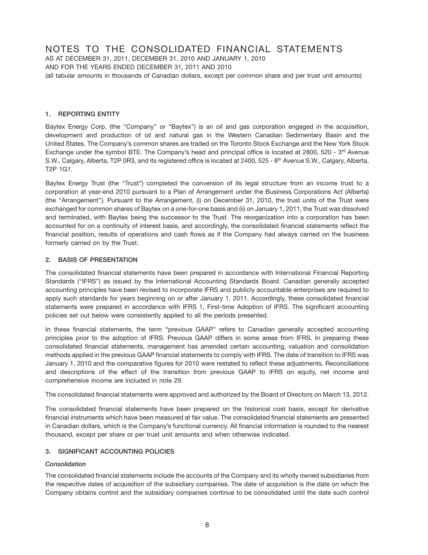# NOTES TO THE CONSOLIDATED FINANCIAL STATEMENTS

AS AT DECEMBER 31, 2011, DECEMBER 31, 2010 AND JANUARY 1, 2010 AND FOR THE YEARS ENDED DECEMBER 31, 2011 AND 2010 (all tabular amounts in thousands of Canadian dollars, except per common share and per trust unit amounts)

#### **1. REPORTING ENTITY**

Baytex Energy Corp. (the "Company" or "Baytex") is an oil and gas corporation engaged in the acquisition, development and production of oil and natural gas in the Western Canadian Sedimentary Basin and the United States. The Company's common shares are traded on the Toronto Stock Exchange and the New York Stock Exchange under the symbol BTE. The Company's head and principal office is located at 2800, 520 - 3<sup>rd</sup> Avenue S.W., Calgary, Alberta, T2P 0R3, and its registered office is located at 2400, 525 - 8<sup>th</sup> Avenue S.W., Calgary, Alberta, T2P 1G1.

Baytex Energy Trust (the ''Trust'') completed the conversion of its legal structure from an income trust to a corporation at year-end 2010 pursuant to a Plan of Arrangement under the Business Corporations Act (Alberta) (the ''Arrangement''). Pursuant to the Arrangement, (i) on December 31, 2010, the trust units of the Trust were exchanged for common shares of Baytex on a one-for-one basis and (ii) on January 1, 2011, the Trust was dissolved and terminated, with Baytex being the successor to the Trust. The reorganization into a corporation has been accounted for on a continuity of interest basis, and accordingly, the consolidated financial statements reflect the financial position, results of operations and cash flows as if the Company had always carried on the business formerly carried on by the Trust.

#### **2. BASIS OF PRESENTATION**

The consolidated financial statements have been prepared in accordance with International Financial Reporting Standards (''IFRS'') as issued by the International Accounting Standards Board. Canadian generally accepted accounting principles have been revised to incorporate IFRS and publicly accountable enterprises are required to apply such standards for years beginning on or after January 1, 2011. Accordingly, these consolidated financial statements were prepared in accordance with IFRS 1, First-time Adoption of IFRS. The significant accounting policies set out below were consistently applied to all the periods presented.

In these financial statements, the term ''previous GAAP'' refers to Canadian generally accepted accounting principles prior to the adoption of IFRS. Previous GAAP differs in some areas from IFRS. In preparing these consolidated financial statements, management has amended certain accounting, valuation and consolidation methods applied in the previous GAAP financial statements to comply with IFRS. The date of transition to IFRS was January 1, 2010 and the comparative figures for 2010 were restated to reflect these adjustments. Reconciliations and descriptions of the effect of the transition from previous GAAP to IFRS on equity, net income and comprehensive income are included in note 29.

The consolidated financial statements were approved and authorized by the Board of Directors on March 13, 2012.

The consolidated financial statements have been prepared on the historical cost basis, except for derivative financial instruments which have been measured at fair value. The consolidated financial statements are presented in Canadian dollars, which is the Company's functional currency. All financial information is rounded to the nearest thousand, except per share or per trust unit amounts and when otherwise indicated.

## **3. SIGNIFICANT ACCOUNTING POLICIES**

#### *Consolidation*

The consolidated financial statements include the accounts of the Company and its wholly owned subsidiaries from the respective dates of acquisition of the subsidiary companies. The date of acquisition is the date on which the Company obtains control and the subsidiary companies continue to be consolidated until the date such control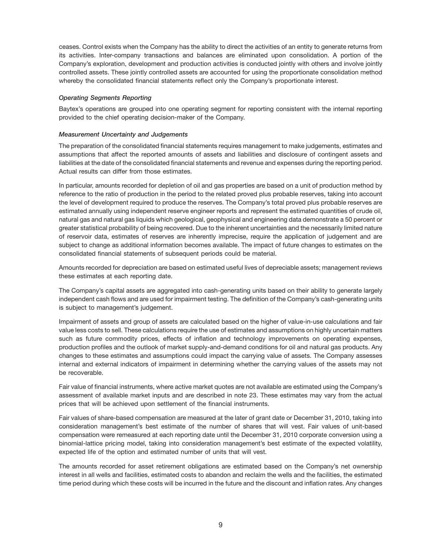ceases. Control exists when the Company has the ability to direct the activities of an entity to generate returns from its activities. Inter-company transactions and balances are eliminated upon consolidation. A portion of the Company's exploration, development and production activities is conducted jointly with others and involve jointly controlled assets. These jointly controlled assets are accounted for using the proportionate consolidation method whereby the consolidated financial statements reflect only the Company's proportionate interest.

#### *Operating Segments Reporting*

Baytex's operations are grouped into one operating segment for reporting consistent with the internal reporting provided to the chief operating decision-maker of the Company.

#### *Measurement Uncertainty and Judgements*

The preparation of the consolidated financial statements requires management to make judgements, estimates and assumptions that affect the reported amounts of assets and liabilities and disclosure of contingent assets and liabilities at the date of the consolidated financial statements and revenue and expenses during the reporting period. Actual results can differ from those estimates.

In particular, amounts recorded for depletion of oil and gas properties are based on a unit of production method by reference to the ratio of production in the period to the related proved plus probable reserves, taking into account the level of development required to produce the reserves. The Company's total proved plus probable reserves are estimated annually using independent reserve engineer reports and represent the estimated quantities of crude oil, natural gas and natural gas liquids which geological, geophysical and engineering data demonstrate a 50 percent or greater statistical probability of being recovered. Due to the inherent uncertainties and the necessarily limited nature of reservoir data, estimates of reserves are inherently imprecise, require the application of judgement and are subject to change as additional information becomes available. The impact of future changes to estimates on the consolidated financial statements of subsequent periods could be material.

Amounts recorded for depreciation are based on estimated useful lives of depreciable assets; management reviews these estimates at each reporting date.

The Company's capital assets are aggregated into cash-generating units based on their ability to generate largely independent cash flows and are used for impairment testing. The definition of the Company's cash-generating units is subject to management's judgement.

Impairment of assets and group of assets are calculated based on the higher of value-in-use calculations and fair value less costs to sell. These calculations require the use of estimates and assumptions on highly uncertain matters such as future commodity prices, effects of inflation and technology improvements on operating expenses, production profiles and the outlook of market supply-and-demand conditions for oil and natural gas products. Any changes to these estimates and assumptions could impact the carrying value of assets. The Company assesses internal and external indicators of impairment in determining whether the carrying values of the assets may not be recoverable.

Fair value of financial instruments, where active market quotes are not available are estimated using the Company's assessment of available market inputs and are described in note 23. These estimates may vary from the actual prices that will be achieved upon settlement of the financial instruments.

Fair values of share-based compensation are measured at the later of grant date or December 31, 2010, taking into consideration management's best estimate of the number of shares that will vest. Fair values of unit-based compensation were remeasured at each reporting date until the December 31, 2010 corporate conversion using a binomial-lattice pricing model, taking into consideration management's best estimate of the expected volatility, expected life of the option and estimated number of units that will vest.

The amounts recorded for asset retirement obligations are estimated based on the Company's net ownership interest in all wells and facilities, estimated costs to abandon and reclaim the wells and the facilities, the estimated time period during which these costs will be incurred in the future and the discount and inflation rates. Any changes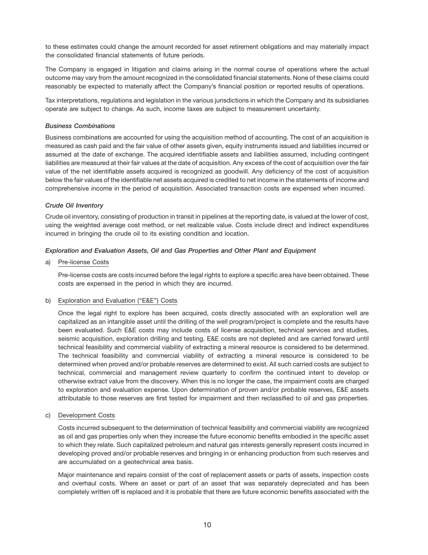to these estimates could change the amount recorded for asset retirement obligations and may materially impact the consolidated financial statements of future periods.

The Company is engaged in litigation and claims arising in the normal course of operations where the actual outcome may vary from the amount recognized in the consolidated financial statements. None of these claims could reasonably be expected to materially affect the Company's financial position or reported results of operations.

Tax interpretations, regulations and legislation in the various jurisdictions in which the Company and its subsidiaries operate are subject to change. As such, income taxes are subject to measurement uncertainty.

#### *Business Combinations*

Business combinations are accounted for using the acquisition method of accounting. The cost of an acquisition is measured as cash paid and the fair value of other assets given, equity instruments issued and liabilities incurred or assumed at the date of exchange. The acquired identifiable assets and liabilities assumed, including contingent liabilities are measured at their fair values at the date of acquisition. Any excess of the cost of acquisition over the fair value of the net identifiable assets acquired is recognized as goodwill. Any deficiency of the cost of acquisition below the fair values of the identifiable net assets acquired is credited to net income in the statements of income and comprehensive income in the period of acquisition. Associated transaction costs are expensed when incurred.

#### *Crude Oil Inventory*

Crude oil inventory, consisting of production in transit in pipelines at the reporting date, is valued at the lower of cost, using the weighted average cost method, or net realizable value. Costs include direct and indirect expenditures incurred in bringing the crude oil to its existing condition and location.

#### *Exploration and Evaluation Assets, Oil and Gas Properties and Other Plant and Equipment*

a) Pre-license Costs

Pre-license costs are costs incurred before the legal rights to explore a specific area have been obtained. These costs are expensed in the period in which they are incurred.

#### b) Exploration and Evaluation ("E&E") Costs

Once the legal right to explore has been acquired, costs directly associated with an exploration well are capitalized as an intangible asset until the drilling of the well program/project is complete and the results have been evaluated. Such E&E costs may include costs of license acquisition, technical services and studies, seismic acquisition, exploration drilling and testing. E&E costs are not depleted and are carried forward until technical feasibility and commercial viability of extracting a mineral resource is considered to be determined. The technical feasibility and commercial viability of extracting a mineral resource is considered to be determined when proved and/or probable reserves are determined to exist. All such carried costs are subject to technical, commercial and management review quarterly to confirm the continued intent to develop or otherwise extract value from the discovery. When this is no longer the case, the impairment costs are charged to exploration and evaluation expense. Upon determination of proven and/or probable reserves, E&E assets attributable to those reserves are first tested for impairment and then reclassified to oil and gas properties.

#### c) Development Costs

Costs incurred subsequent to the determination of technical feasibility and commercial viability are recognized as oil and gas properties only when they increase the future economic benefits embodied in the specific asset to which they relate. Such capitalized petroleum and natural gas interests generally represent costs incurred in developing proved and/or probable reserves and bringing in or enhancing production from such reserves and are accumulated on a geotechnical area basis.

Major maintenance and repairs consist of the cost of replacement assets or parts of assets, inspection costs and overhaul costs. Where an asset or part of an asset that was separately depreciated and has been completely written off is replaced and it is probable that there are future economic benefits associated with the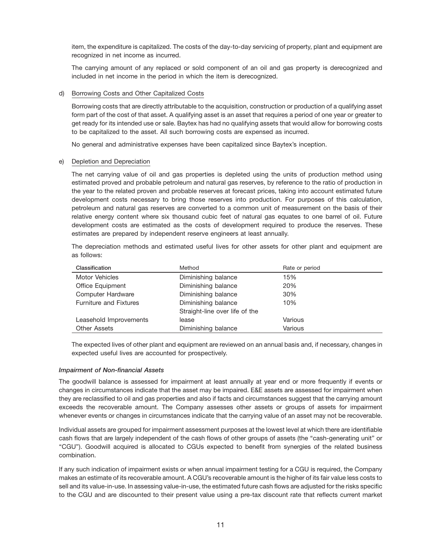item, the expenditure is capitalized. The costs of the day-to-day servicing of property, plant and equipment are recognized in net income as incurred.

The carrying amount of any replaced or sold component of an oil and gas property is derecognized and included in net income in the period in which the item is derecognized.

#### d) Borrowing Costs and Other Capitalized Costs

Borrowing costs that are directly attributable to the acquisition, construction or production of a qualifying asset form part of the cost of that asset. A qualifying asset is an asset that requires a period of one year or greater to get ready for its intended use or sale. Baytex has had no qualifying assets that would allow for borrowing costs to be capitalized to the asset. All such borrowing costs are expensed as incurred.

No general and administrative expenses have been capitalized since Baytex's inception.

#### e) Depletion and Depreciation

The net carrying value of oil and gas properties is depleted using the units of production method using estimated proved and probable petroleum and natural gas reserves, by reference to the ratio of production in the year to the related proven and probable reserves at forecast prices, taking into account estimated future development costs necessary to bring those reserves into production. For purposes of this calculation, petroleum and natural gas reserves are converted to a common unit of measurement on the basis of their relative energy content where six thousand cubic feet of natural gas equates to one barrel of oil. Future development costs are estimated as the costs of development required to produce the reserves. These estimates are prepared by independent reserve engineers at least annually.

The depreciation methods and estimated useful lives for other assets for other plant and equipment are as follows:

| Classification                | Method                         | Rate or period |
|-------------------------------|--------------------------------|----------------|
| <b>Motor Vehicles</b>         | Diminishing balance            | 15%            |
| Office Equipment              | Diminishing balance            | 20%            |
| Computer Hardware             | Diminishing balance            | 30%            |
| <b>Furniture and Fixtures</b> | Diminishing balance            | 10%            |
|                               | Straight-line over life of the |                |
| Leasehold Improvements        | lease                          | Various        |
| <b>Other Assets</b>           | Diminishing balance            | Various        |

The expected lives of other plant and equipment are reviewed on an annual basis and, if necessary, changes in expected useful lives are accounted for prospectively.

#### *Impairment of Non-financial Assets*

The goodwill balance is assessed for impairment at least annually at year end or more frequently if events or changes in circumstances indicate that the asset may be impaired. E&E assets are assessed for impairment when they are reclassified to oil and gas properties and also if facts and circumstances suggest that the carrying amount exceeds the recoverable amount. The Company assesses other assets or groups of assets for impairment whenever events or changes in circumstances indicate that the carrying value of an asset may not be recoverable.

Individual assets are grouped for impairment assessment purposes at the lowest level at which there are identifiable cash flows that are largely independent of the cash flows of other groups of assets (the ''cash-generating unit'' or ''CGU''). Goodwill acquired is allocated to CGUs expected to benefit from synergies of the related business combination.

If any such indication of impairment exists or when annual impairment testing for a CGU is required, the Company makes an estimate of its recoverable amount. A CGU's recoverable amount is the higher of its fair value less costs to sell and its value-in-use. In assessing value-in-use, the estimated future cash flows are adjusted for the risks specific to the CGU and are discounted to their present value using a pre-tax discount rate that reflects current market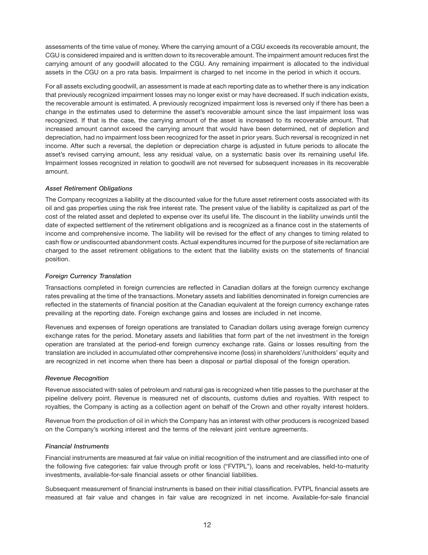assessments of the time value of money. Where the carrying amount of a CGU exceeds its recoverable amount, the CGU is considered impaired and is written down to its recoverable amount. The impairment amount reduces first the carrying amount of any goodwill allocated to the CGU. Any remaining impairment is allocated to the individual assets in the CGU on a pro rata basis. Impairment is charged to net income in the period in which it occurs.

For all assets excluding goodwill, an assessment is made at each reporting date as to whether there is any indication that previously recognized impairment losses may no longer exist or may have decreased. If such indication exists, the recoverable amount is estimated. A previously recognized impairment loss is reversed only if there has been a change in the estimates used to determine the asset's recoverable amount since the last impairment loss was recognized. If that is the case, the carrying amount of the asset is increased to its recoverable amount. That increased amount cannot exceed the carrying amount that would have been determined, net of depletion and depreciation, had no impairment loss been recognized for the asset in prior years. Such reversal is recognized in net income. After such a reversal, the depletion or depreciation charge is adjusted in future periods to allocate the asset's revised carrying amount, less any residual value, on a systematic basis over its remaining useful life. Impairment losses recognized in relation to goodwill are not reversed for subsequent increases in its recoverable amount.

#### *Asset Retirement Obligations*

The Company recognizes a liability at the discounted value for the future asset retirement costs associated with its oil and gas properties using the risk free interest rate. The present value of the liability is capitalized as part of the cost of the related asset and depleted to expense over its useful life. The discount in the liability unwinds until the date of expected settlement of the retirement obligations and is recognized as a finance cost in the statements of income and comprehensive income. The liability will be revised for the effect of any changes to timing related to cash flow or undiscounted abandonment costs. Actual expenditures incurred for the purpose of site reclamation are charged to the asset retirement obligations to the extent that the liability exists on the statements of financial position.

#### *Foreign Currency Translation*

Transactions completed in foreign currencies are reflected in Canadian dollars at the foreign currency exchange rates prevailing at the time of the transactions. Monetary assets and liabilities denominated in foreign currencies are reflected in the statements of financial position at the Canadian equivalent at the foreign currency exchange rates prevailing at the reporting date. Foreign exchange gains and losses are included in net income.

Revenues and expenses of foreign operations are translated to Canadian dollars using average foreign currency exchange rates for the period. Monetary assets and liabilities that form part of the net investment in the foreign operation are translated at the period-end foreign currency exchange rate. Gains or losses resulting from the translation are included in accumulated other comprehensive income (loss) in shareholders'/unitholders' equity and are recognized in net income when there has been a disposal or partial disposal of the foreign operation.

#### *Revenue Recognition*

Revenue associated with sales of petroleum and natural gas is recognized when title passes to the purchaser at the pipeline delivery point. Revenue is measured net of discounts, customs duties and royalties. With respect to royalties, the Company is acting as a collection agent on behalf of the Crown and other royalty interest holders.

Revenue from the production of oil in which the Company has an interest with other producers is recognized based on the Company's working interest and the terms of the relevant joint venture agreements.

#### *Financial Instruments*

Financial instruments are measured at fair value on initial recognition of the instrument and are classified into one of the following five categories: fair value through profit or loss (''FVTPL''), loans and receivables, held-to-maturity investments, available-for-sale financial assets or other financial liabilities.

Subsequent measurement of financial instruments is based on their initial classification. FVTPL financial assets are measured at fair value and changes in fair value are recognized in net income. Available-for-sale financial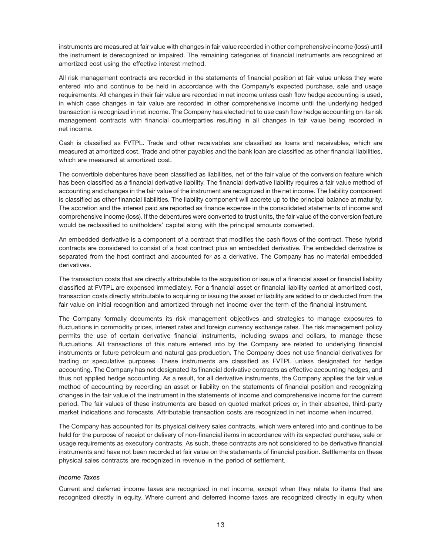instruments are measured at fair value with changes in fair value recorded in other comprehensive income (loss) until the instrument is derecognized or impaired. The remaining categories of financial instruments are recognized at amortized cost using the effective interest method.

All risk management contracts are recorded in the statements of financial position at fair value unless they were entered into and continue to be held in accordance with the Company's expected purchase, sale and usage requirements. All changes in their fair value are recorded in net income unless cash flow hedge accounting is used, in which case changes in fair value are recorded in other comprehensive income until the underlying hedged transaction is recognized in net income. The Company has elected not to use cash flow hedge accounting on its risk management contracts with financial counterparties resulting in all changes in fair value being recorded in net income.

Cash is classified as FVTPL. Trade and other receivables are classified as loans and receivables, which are measured at amortized cost. Trade and other payables and the bank loan are classified as other financial liabilities, which are measured at amortized cost.

The convertible debentures have been classified as liabilities, net of the fair value of the conversion feature which has been classified as a financial derivative liability. The financial derivative liability requires a fair value method of accounting and changes in the fair value of the instrument are recognized in the net income. The liability component is classified as other financial liabilities. The liability component will accrete up to the principal balance at maturity. The accretion and the interest paid are reported as finance expense in the consolidated statements of income and comprehensive income (loss). If the debentures were converted to trust units, the fair value of the conversion feature would be reclassified to unitholders' capital along with the principal amounts converted.

An embedded derivative is a component of a contract that modifies the cash flows of the contract. These hybrid contracts are considered to consist of a host contract plus an embedded derivative. The embedded derivative is separated from the host contract and accounted for as a derivative. The Company has no material embedded derivatives.

The transaction costs that are directly attributable to the acquisition or issue of a financial asset or financial liability classified at FVTPL are expensed immediately. For a financial asset or financial liability carried at amortized cost, transaction costs directly attributable to acquiring or issuing the asset or liability are added to or deducted from the fair value on initial recognition and amortized through net income over the term of the financial instrument.

The Company formally documents its risk management objectives and strategies to manage exposures to fluctuations in commodity prices, interest rates and foreign currency exchange rates. The risk management policy permits the use of certain derivative financial instruments, including swaps and collars, to manage these fluctuations. All transactions of this nature entered into by the Company are related to underlying financial instruments or future petroleum and natural gas production. The Company does not use financial derivatives for trading or speculative purposes. These instruments are classified as FVTPL unless designated for hedge accounting. The Company has not designated its financial derivative contracts as effective accounting hedges, and thus not applied hedge accounting. As a result, for all derivative instruments, the Company applies the fair value method of accounting by recording an asset or liability on the statements of financial position and recognizing changes in the fair value of the instrument in the statements of income and comprehensive income for the current period. The fair values of these instruments are based on quoted market prices or, in their absence, third-party market indications and forecasts. Attributable transaction costs are recognized in net income when incurred.

The Company has accounted for its physical delivery sales contracts, which were entered into and continue to be held for the purpose of receipt or delivery of non-financial items in accordance with its expected purchase, sale or usage requirements as executory contracts. As such, these contracts are not considered to be derivative financial instruments and have not been recorded at fair value on the statements of financial position. Settlements on these physical sales contracts are recognized in revenue in the period of settlement.

#### *Income Taxes*

Current and deferred income taxes are recognized in net income, except when they relate to items that are recognized directly in equity. Where current and deferred income taxes are recognized directly in equity when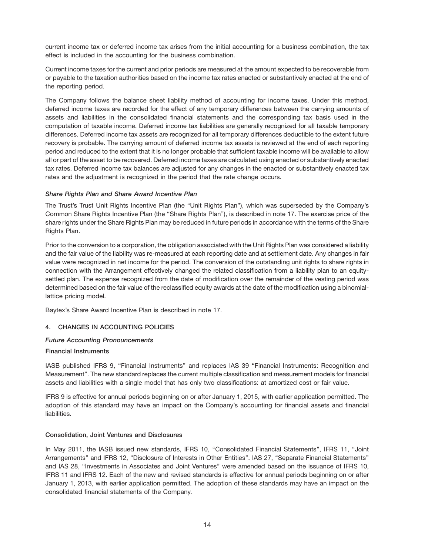current income tax or deferred income tax arises from the initial accounting for a business combination, the tax effect is included in the accounting for the business combination.

Current income taxes for the current and prior periods are measured at the amount expected to be recoverable from or payable to the taxation authorities based on the income tax rates enacted or substantively enacted at the end of the reporting period.

The Company follows the balance sheet liability method of accounting for income taxes. Under this method, deferred income taxes are recorded for the effect of any temporary differences between the carrying amounts of assets and liabilities in the consolidated financial statements and the corresponding tax basis used in the computation of taxable income. Deferred income tax liabilities are generally recognized for all taxable temporary differences. Deferred income tax assets are recognized for all temporary differences deductible to the extent future recovery is probable. The carrying amount of deferred income tax assets is reviewed at the end of each reporting period and reduced to the extent that it is no longer probable that sufficient taxable income will be available to allow all or part of the asset to be recovered. Deferred income taxes are calculated using enacted or substantively enacted tax rates. Deferred income tax balances are adjusted for any changes in the enacted or substantively enacted tax rates and the adjustment is recognized in the period that the rate change occurs.

#### *Share Rights Plan and Share Award Incentive Plan*

The Trust's Trust Unit Rights Incentive Plan (the ''Unit Rights Plan''), which was superseded by the Company's Common Share Rights Incentive Plan (the ''Share Rights Plan''), is described in note 17. The exercise price of the share rights under the Share Rights Plan may be reduced in future periods in accordance with the terms of the Share Rights Plan.

Prior to the conversion to a corporation, the obligation associated with the Unit Rights Plan was considered a liability and the fair value of the liability was re-measured at each reporting date and at settlement date. Any changes in fair value were recognized in net income for the period. The conversion of the outstanding unit rights to share rights in connection with the Arrangement effectively changed the related classification from a liability plan to an equitysettled plan. The expense recognized from the date of modification over the remainder of the vesting period was determined based on the fair value of the reclassified equity awards at the date of the modification using a binomiallattice pricing model.

Baytex's Share Award Incentive Plan is described in note 17.

#### **4. CHANGES IN ACCOUNTING POLICIES**

#### *Future Accounting Pronouncements*

#### **Financial Instruments**

IASB published IFRS 9, "Financial Instruments" and replaces IAS 39 "Financial Instruments: Recognition and Measurement''. The new standard replaces the current multiple classification and measurement models for financial assets and liabilities with a single model that has only two classifications: at amortized cost or fair value.

IFRS 9 is effective for annual periods beginning on or after January 1, 2015, with earlier application permitted. The adoption of this standard may have an impact on the Company's accounting for financial assets and financial liabilities.

#### **Consolidation, Joint Ventures and Disclosures**

In May 2011, the IASB issued new standards, IFRS 10, ''Consolidated Financial Statements'', IFRS 11, ''Joint Arrangements'' and IFRS 12, ''Disclosure of Interests in Other Entities''. IAS 27, ''Separate Financial Statements'' and IAS 28, ''Investments in Associates and Joint Ventures'' were amended based on the issuance of IFRS 10, IFRS 11 and IFRS 12. Each of the new and revised standards is effective for annual periods beginning on or after January 1, 2013, with earlier application permitted. The adoption of these standards may have an impact on the consolidated financial statements of the Company.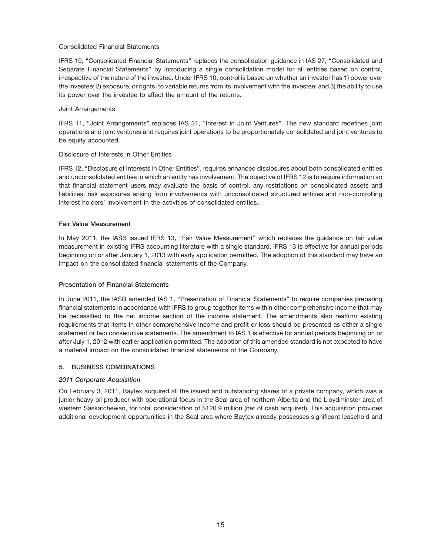#### Consolidated Financial Statements

IFRS 10, ''Consolidated Financial Statements'' replaces the consolidation guidance in IAS 27, ''Consolidated and Separate Financial Statements'' by introducing a single consolidation model for all entities based on control, irrespective of the nature of the investee. Under IFRS 10, control is based on whether an investor has 1) power over the investee; 2) exposure, or rights, to variable returns from its involvement with the investee; and 3) the ability to use its power over the investee to affect the amount of the returns.

#### Joint Arrangements

IFRS 11, ''Joint Arrangements'' replaces IAS 31, ''Interest in Joint Ventures''. The new standard redefines joint operations and joint ventures and requires joint operations to be proportionately consolidated and joint ventures to be equity accounted.

#### Disclosure of Interests in Other Entities

IFRS 12, ''Disclosure of Interests in Other Entities'', requires enhanced disclosures about both consolidated entities and unconsolidated entities in which an entity has involvement. The objective of IFRS 12 is to require information so that financial statement users may evaluate the basis of control, any restrictions on consolidated assets and liabilities, risk exposures arising from involvements with unconsolidated structured entities and non-controlling interest holders' involvement in the activities of consolidated entities.

#### **Fair Value Measurement**

In May 2011, the IASB issued IFRS 13, "Fair Value Measurement" which replaces the guidance on fair value measurement in existing IFRS accounting literature with a single standard. IFRS 13 is effective for annual periods beginning on or after January 1, 2013 with early application permitted. The adoption of this standard may have an impact on the consolidated financial statements of the Company.

#### **Presentation of Financial Statements**

In June 2011, the IASB amended IAS 1, "Presentation of Financial Statements" to require companies preparing financial statements in accordance with IFRS to group together items within other comprehensive income that may be reclassified to the net income section of the income statement. The amendments also reaffirm existing requirements that items in other comprehensive income and profit or loss should be presented as either a single statement or two consecutive statements. The amendment to IAS 1 is effective for annual periods beginning on or after July 1, 2012 with earlier application permitted. The adoption of this amended standard is not expected to have a material impact on the consolidated financial statements of the Company.

#### **5. BUSINESS COMBINATIONS**

## *2011 Corporate Acquisition*

On February 3, 2011, Baytex acquired all the issued and outstanding shares of a private company, which was a junior heavy oil producer with operational focus in the Seal area of northern Alberta and the Lloydminster area of western Saskatchewan, for total consideration of \$120.9 million (net of cash acquired). This acquisition provides additional development opportunities in the Seal area where Baytex already possesses significant leasehold and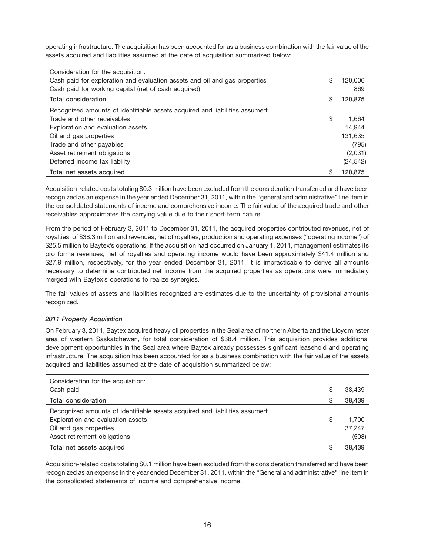operating infrastructure. The acquisition has been accounted for as a business combination with the fair value of the assets acquired and liabilities assumed at the date of acquisition summarized below:

| Consideration for the acquisition:                                          |    |           |
|-----------------------------------------------------------------------------|----|-----------|
| Cash paid for exploration and evaluation assets and oil and gas properties  | \$ | 120,006   |
| Cash paid for working capital (net of cash acquired)                        |    | 869       |
| Total consideration                                                         | S  | 120.875   |
| Recognized amounts of identifiable assets acquired and liabilities assumed: |    |           |
| Trade and other receivables                                                 | \$ | 1.664     |
| Exploration and evaluation assets                                           |    | 14.944    |
| Oil and gas properties                                                      |    | 131,635   |
| Trade and other payables                                                    |    | (795)     |
| Asset retirement obligations                                                |    | (2,031)   |
| Deferred income tax liability                                               |    | (24, 542) |
| Total net assets acquired                                                   | \$ | 120.875   |

Acquisition-related costs totaling \$0.3 million have been excluded from the consideration transferred and have been recognized as an expense in the year ended December 31, 2011, within the ''general and administrative'' line item in the consolidated statements of income and comprehensive income. The fair value of the acquired trade and other receivables approximates the carrying value due to their short term nature.

From the period of February 3, 2011 to December 31, 2011, the acquired properties contributed revenues, net of royalties, of \$38.3 million and revenues, net of royalties, production and operating expenses (''operating income'') of \$25.5 million to Baytex's operations. If the acquisition had occurred on January 1, 2011, management estimates its pro forma revenues, net of royalties and operating income would have been approximately \$41.4 million and \$27.9 million, respectively, for the year ended December 31, 2011. It is impracticable to derive all amounts necessary to determine contributed net income from the acquired properties as operations were immediately merged with Baytex's operations to realize synergies.

The fair values of assets and liabilities recognized are estimates due to the uncertainty of provisional amounts recognized.

#### *2011 Property Acquisition*

On February 3, 2011, Baytex acquired heavy oil properties in the Seal area of northern Alberta and the Lloydminster area of western Saskatchewan, for total consideration of \$38.4 million. This acquisition provides additional development opportunities in the Seal area where Baytex already possesses significant leasehold and operating infrastructure. The acquisition has been accounted for as a business combination with the fair value of the assets acquired and liabilities assumed at the date of acquisition summarized below:

| Consideration for the acquisition:                                          |    |        |
|-----------------------------------------------------------------------------|----|--------|
| Cash paid                                                                   | \$ | 38,439 |
| <b>Total consideration</b>                                                  | S  | 38,439 |
| Recognized amounts of identifiable assets acquired and liabilities assumed: |    |        |
| Exploration and evaluation assets                                           | \$ | 1.700  |
| Oil and gas properties                                                      |    | 37.247 |
| Asset retirement obligations                                                |    | (508)  |
| Total net assets acquired                                                   | S  | 38.439 |

Acquisition-related costs totaling \$0.1 million have been excluded from the consideration transferred and have been recognized as an expense in the year ended December 31, 2011, within the ''General and administrative'' line item in the consolidated statements of income and comprehensive income.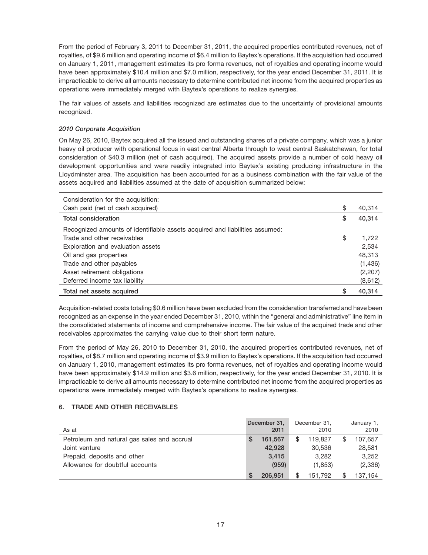From the period of February 3, 2011 to December 31, 2011, the acquired properties contributed revenues, net of royalties, of \$9.6 million and operating income of \$6.4 million to Baytex's operations. If the acquisition had occurred on January 1, 2011, management estimates its pro forma revenues, net of royalties and operating income would have been approximately \$10.4 million and \$7.0 million, respectively, for the year ended December 31, 2011. It is impracticable to derive all amounts necessary to determine contributed net income from the acquired properties as operations were immediately merged with Baytex's operations to realize synergies.

The fair values of assets and liabilities recognized are estimates due to the uncertainty of provisional amounts recognized.

## *2010 Corporate Acquisition*

On May 26, 2010, Baytex acquired all the issued and outstanding shares of a private company, which was a junior heavy oil producer with operational focus in east central Alberta through to west central Saskatchewan, for total consideration of \$40.3 million (net of cash acquired). The acquired assets provide a number of cold heavy oil development opportunities and were readily integrated into Baytex's existing producing infrastructure in the Lloydminster area. The acquisition has been accounted for as a business combination with the fair value of the assets acquired and liabilities assumed at the date of acquisition summarized below:

| Consideration for the acquisition:                                          |    |          |
|-----------------------------------------------------------------------------|----|----------|
| Cash paid (net of cash acquired)                                            | \$ | 40,314   |
| <b>Total consideration</b>                                                  | S  | 40,314   |
| Recognized amounts of identifiable assets acquired and liabilities assumed: |    |          |
| Trade and other receivables                                                 | \$ | 1.722    |
| Exploration and evaluation assets                                           |    | 2,534    |
| Oil and gas properties                                                      |    | 48,313   |
| Trade and other payables                                                    |    | (1,436)  |
| Asset retirement obligations                                                |    | (2, 207) |
| Deferred income tax liability                                               |    | (8,612)  |
| Total net assets acquired                                                   | \$ | 40.314   |

Acquisition-related costs totaling \$0.6 million have been excluded from the consideration transferred and have been recognized as an expense in the year ended December 31, 2010, within the ''general and administrative'' line item in the consolidated statements of income and comprehensive income. The fair value of the acquired trade and other receivables approximates the carrying value due to their short term nature.

From the period of May 26, 2010 to December 31, 2010, the acquired properties contributed revenues, net of royalties, of \$8.7 million and operating income of \$3.9 million to Baytex's operations. If the acquisition had occurred on January 1, 2010, management estimates its pro forma revenues, net of royalties and operating income would have been approximately \$14.9 million and \$3.6 million, respectively, for the year ended December 31, 2010. It is impracticable to derive all amounts necessary to determine contributed net income from the acquired properties as operations were immediately merged with Baytex's operations to realize synergies.

## **6. TRADE AND OTHER RECEIVABLES**

| As at                                       | December 31,<br>2011 |         |  |         | December 31,<br>2010 |  | January 1,<br>2010 |
|---------------------------------------------|----------------------|---------|--|---------|----------------------|--|--------------------|
| Petroleum and natural gas sales and accrual | \$                   | 161.567 |  | 119,827 | \$<br>107,657        |  |                    |
| Joint venture                               |                      | 42,928  |  | 30,536  | 28,581               |  |                    |
| Prepaid, deposits and other                 |                      | 3.415   |  | 3.282   | 3.252                |  |                    |
| Allowance for doubtful accounts             |                      | (959)   |  | (1,853) | (2, 336)             |  |                    |
|                                             | \$                   | 206,951 |  | 151.792 | \$<br>137,154        |  |                    |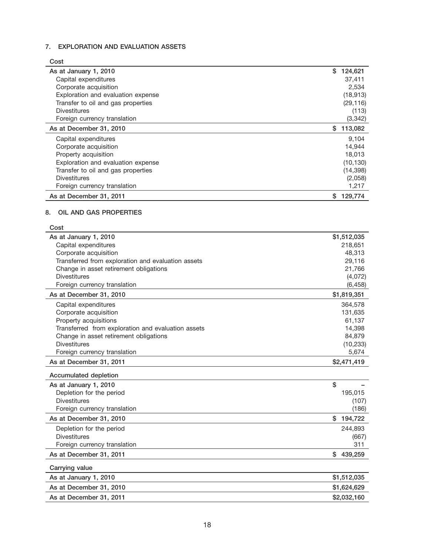## **7. EXPLORATION AND EVALUATION ASSETS**

| Cost                               |               |
|------------------------------------|---------------|
| As at January 1, 2010              | \$<br>124,621 |
| Capital expenditures               | 37,411        |
| Corporate acquisition              | 2,534         |
| Exploration and evaluation expense | (18, 913)     |
| Transfer to oil and gas properties | (29, 116)     |
| <b>Divestitures</b>                | (113)         |
| Foreign currency translation       | (3,342)       |
| As at December 31, 2010            | \$<br>113,082 |
| Capital expenditures               | 9,104         |
| Corporate acquisition              | 14,944        |
| Property acquisition               | 18,013        |
| Exploration and evaluation expense | (10, 130)     |
| Transfer to oil and gas properties | (14, 398)     |
| <b>Divestitures</b>                | (2,058)       |
| Foreign currency translation       | 1,217         |
| As at December 31, 2011            | \$<br>129,774 |
| OIL AND GAS PROPERTIES<br>8.       |               |
| Cost                               |               |
| As at January 1, 2010              | \$1,512,035   |
| Osaital susanalitusa               | 0.400         |

| Corporate acquisition<br>Transferred from exploration and evaluation assets<br>Change in asset retirement obligations<br><b>Divestitures</b><br>Foreign currency translation<br>As at December 31, 2010<br>Capital expenditures<br>Corporate acquisition<br>Property acquisitions<br>Transferred from exploration and evaluation assets<br>Change in asset retirement obligations<br><b>Divestitures</b><br>Foreign currency translation<br>As at December 31, 2011<br>Accumulated depletion<br>\$<br>As at January 1, 2010<br>Depletion for the period<br><b>Divestitures</b><br>Foreign currency translation<br>As at December 31, 2010<br>\$<br>Depletion for the period<br><b>Divestitures</b><br>Foreign currency translation<br>\$<br>As at December 31, 2011<br>Carrying value<br>As at January 1, 2010<br>As at December 31, 2010 | <b>Avid under the University</b> | <b>91,914,900</b> |
|-------------------------------------------------------------------------------------------------------------------------------------------------------------------------------------------------------------------------------------------------------------------------------------------------------------------------------------------------------------------------------------------------------------------------------------------------------------------------------------------------------------------------------------------------------------------------------------------------------------------------------------------------------------------------------------------------------------------------------------------------------------------------------------------------------------------------------------------|----------------------------------|-------------------|
|                                                                                                                                                                                                                                                                                                                                                                                                                                                                                                                                                                                                                                                                                                                                                                                                                                           | Capital expenditures             | 218,651           |
|                                                                                                                                                                                                                                                                                                                                                                                                                                                                                                                                                                                                                                                                                                                                                                                                                                           |                                  | 48,313            |
|                                                                                                                                                                                                                                                                                                                                                                                                                                                                                                                                                                                                                                                                                                                                                                                                                                           |                                  | 29,116            |
|                                                                                                                                                                                                                                                                                                                                                                                                                                                                                                                                                                                                                                                                                                                                                                                                                                           |                                  | 21,766            |
|                                                                                                                                                                                                                                                                                                                                                                                                                                                                                                                                                                                                                                                                                                                                                                                                                                           |                                  | (4,072)           |
|                                                                                                                                                                                                                                                                                                                                                                                                                                                                                                                                                                                                                                                                                                                                                                                                                                           |                                  | (6, 458)          |
|                                                                                                                                                                                                                                                                                                                                                                                                                                                                                                                                                                                                                                                                                                                                                                                                                                           |                                  | \$1,819,351       |
|                                                                                                                                                                                                                                                                                                                                                                                                                                                                                                                                                                                                                                                                                                                                                                                                                                           |                                  | 364,578           |
|                                                                                                                                                                                                                                                                                                                                                                                                                                                                                                                                                                                                                                                                                                                                                                                                                                           |                                  | 131,635           |
|                                                                                                                                                                                                                                                                                                                                                                                                                                                                                                                                                                                                                                                                                                                                                                                                                                           |                                  | 61,137            |
|                                                                                                                                                                                                                                                                                                                                                                                                                                                                                                                                                                                                                                                                                                                                                                                                                                           |                                  | 14,398            |
|                                                                                                                                                                                                                                                                                                                                                                                                                                                                                                                                                                                                                                                                                                                                                                                                                                           |                                  | 84,879            |
|                                                                                                                                                                                                                                                                                                                                                                                                                                                                                                                                                                                                                                                                                                                                                                                                                                           |                                  | (10, 233)         |
|                                                                                                                                                                                                                                                                                                                                                                                                                                                                                                                                                                                                                                                                                                                                                                                                                                           |                                  | 5,674             |
|                                                                                                                                                                                                                                                                                                                                                                                                                                                                                                                                                                                                                                                                                                                                                                                                                                           |                                  | \$2,471,419       |
|                                                                                                                                                                                                                                                                                                                                                                                                                                                                                                                                                                                                                                                                                                                                                                                                                                           |                                  |                   |
|                                                                                                                                                                                                                                                                                                                                                                                                                                                                                                                                                                                                                                                                                                                                                                                                                                           |                                  |                   |
|                                                                                                                                                                                                                                                                                                                                                                                                                                                                                                                                                                                                                                                                                                                                                                                                                                           |                                  | 195,015           |
|                                                                                                                                                                                                                                                                                                                                                                                                                                                                                                                                                                                                                                                                                                                                                                                                                                           |                                  | (107)             |
|                                                                                                                                                                                                                                                                                                                                                                                                                                                                                                                                                                                                                                                                                                                                                                                                                                           |                                  | (186)             |
|                                                                                                                                                                                                                                                                                                                                                                                                                                                                                                                                                                                                                                                                                                                                                                                                                                           |                                  | 194,722           |
|                                                                                                                                                                                                                                                                                                                                                                                                                                                                                                                                                                                                                                                                                                                                                                                                                                           |                                  | 244,893           |
|                                                                                                                                                                                                                                                                                                                                                                                                                                                                                                                                                                                                                                                                                                                                                                                                                                           |                                  | (667)             |
|                                                                                                                                                                                                                                                                                                                                                                                                                                                                                                                                                                                                                                                                                                                                                                                                                                           |                                  | 311               |
|                                                                                                                                                                                                                                                                                                                                                                                                                                                                                                                                                                                                                                                                                                                                                                                                                                           |                                  | 439,259           |
|                                                                                                                                                                                                                                                                                                                                                                                                                                                                                                                                                                                                                                                                                                                                                                                                                                           |                                  |                   |
|                                                                                                                                                                                                                                                                                                                                                                                                                                                                                                                                                                                                                                                                                                                                                                                                                                           |                                  | \$1,512,035       |
|                                                                                                                                                                                                                                                                                                                                                                                                                                                                                                                                                                                                                                                                                                                                                                                                                                           |                                  | \$1,624,629       |
| As at December 31, 2011                                                                                                                                                                                                                                                                                                                                                                                                                                                                                                                                                                                                                                                                                                                                                                                                                   |                                  | \$2,032,160       |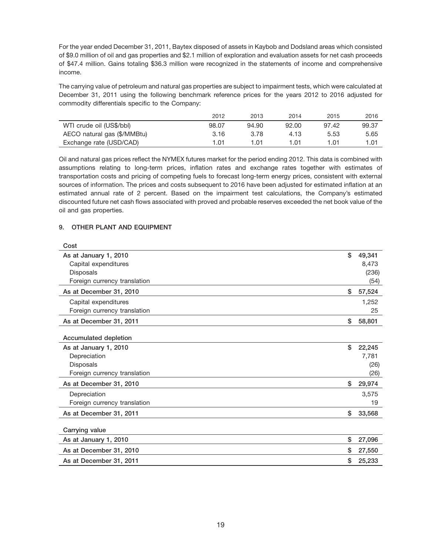For the year ended December 31, 2011, Baytex disposed of assets in Kaybob and Dodsland areas which consisted of \$9.0 million of oil and gas properties and \$2.1 million of exploration and evaluation assets for net cash proceeds of \$47.4 million. Gains totaling \$36.3 million were recognized in the statements of income and comprehensive income.

The carrying value of petroleum and natural gas properties are subject to impairment tests, which were calculated at December 31, 2011 using the following benchmark reference prices for the years 2012 to 2016 adjusted for commodity differentials specific to the Company:

|                             | 2012  | 2013  | 2014  | 2015  | 2016  |
|-----------------------------|-------|-------|-------|-------|-------|
| WTI crude oil (US\$/bbl)    | 98.07 | 94.90 | 92.00 | 97.42 | 99.37 |
| AECO natural gas (\$/MMBtu) | 3.16  | 3.78  | 4.13  | 5.53  | 5.65  |
| Exchange rate (USD/CAD)     | 1.01  | 1.01  | 1.01  | 1.01  |       |

Oil and natural gas prices reflect the NYMEX futures market for the period ending 2012. This data is combined with assumptions relating to long-term prices, inflation rates and exchange rates together with estimates of transportation costs and pricing of competing fuels to forecast long-term energy prices, consistent with external sources of information. The prices and costs subsequent to 2016 have been adjusted for estimated inflation at an estimated annual rate of 2 percent. Based on the impairment test calculations, the Company's estimated discounted future net cash flows associated with proved and probable reserves exceeded the net book value of the oil and gas properties.

#### **9. OTHER PLANT AND EQUIPMENT**

| Cost                         |              |
|------------------------------|--------------|
| As at January 1, 2010        | \$<br>49,341 |
| Capital expenditures         | 8,473        |
| <b>Disposals</b>             | (236)        |
| Foreign currency translation | (54)         |
| As at December 31, 2010      | \$<br>57,524 |
| Capital expenditures         | 1,252        |
| Foreign currency translation | 25           |
| As at December 31, 2011      | \$<br>58,801 |
| <b>Accumulated depletion</b> |              |
| As at January 1, 2010        | \$<br>22,245 |
| Depreciation                 | 7,781        |
| <b>Disposals</b>             | (26)         |
| Foreign currency translation | (26)         |
| As at December 31, 2010      | \$<br>29,974 |
| Depreciation                 | 3,575        |
| Foreign currency translation | 19           |
| As at December 31, 2011      | \$<br>33,568 |
| Carrying value               |              |
| As at January 1, 2010        | \$<br>27,096 |
| As at December 31, 2010      | \$<br>27,550 |
| As at December 31, 2011      | \$<br>25,233 |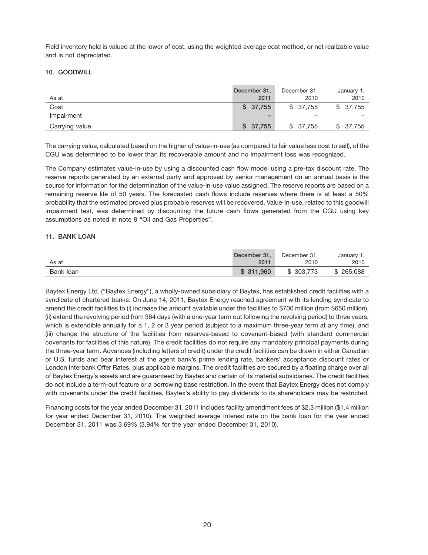Field inventory held is valued at the lower of cost, using the weighted average cost method, or net realizable value and is not depreciated.

#### **10. GOODWILL**

|                | December 31,             | December 31, | January 1, |
|----------------|--------------------------|--------------|------------|
| As at          | 2011                     | 2010         | 2010       |
| Cost           | \$37.755                 | \$ 37.755    | \$ 37.755  |
| Impairment     | $\overline{\phantom{0}}$ | -            | -          |
| Carrying value | \$37.755                 | \$ 37.755    | \$37,755   |

The carrying value, calculated based on the higher of value-in-use (as compared to fair value less cost to sell), of the CGU was determined to be lower than its recoverable amount and no impairment loss was recognized.

The Company estimates value-in-use by using a discounted cash flow model using a pre-tax discount rate. The reserve reports generated by an external party and approved by senior management on an annual basis is the source for information for the determination of the value-in-use value assigned. The reserve reports are based on a remaining reserve life of 50 years. The forecasted cash flows include reserves where there is at least a 50% probability that the estimated proved plus probable reserves will be recovered. Value-in-use, related to this goodwill impairment test, was determined by discounting the future cash flows generated from the CGU using key assumptions as noted in note 8 ''Oil and Gas Properties''.

#### **11. BANK LOAN**

|           | December 31. | December 31. | January 1, |
|-----------|--------------|--------------|------------|
| As at     | $201 -$      | 2010         | 2010       |
| Bank loan | \$311.960    | \$303,773    | \$265.088  |

Baytex Energy Ltd. (''Baytex Energy''), a wholly-owned subsidiary of Baytex, has established credit facilities with a syndicate of chartered banks. On June 14, 2011, Baytex Energy reached agreement with its lending syndicate to amend the credit facilities to (i) increase the amount available under the facilities to \$700 million (from \$650 million), (ii) extend the revolving period from 364 days (with a one-year term out following the revolving period) to three years, which is extendible annually for a 1, 2 or 3 year period (subject to a maximum three-year term at any time), and (iii) change the structure of the facilities from reserves-based to covenant-based (with standard commercial covenants for facilities of this nature). The credit facilities do not require any mandatory principal payments during the three-year term. Advances (including letters of credit) under the credit facilities can be drawn in either Canadian or U.S. funds and bear interest at the agent bank's prime lending rate, bankers' acceptance discount rates or London Interbank Offer Rates, plus applicable margins. The credit facilities are secured by a floating charge over all of Baytex Energy's assets and are guaranteed by Baytex and certain of its material subsidiaries. The credit facilities do not include a term-out feature or a borrowing base restriction. In the event that Baytex Energy does not comply with covenants under the credit facilities, Baytex's ability to pay dividends to its shareholders may be restricted.

Financing costs for the year ended December 31, 2011 includes facility amendment fees of \$2.3 million (\$1.4 million for year ended December 31, 2010). The weighted average interest rate on the bank loan for the year ended December 31, 2011 was 3.69% (3.94% for the year ended December 31, 2010).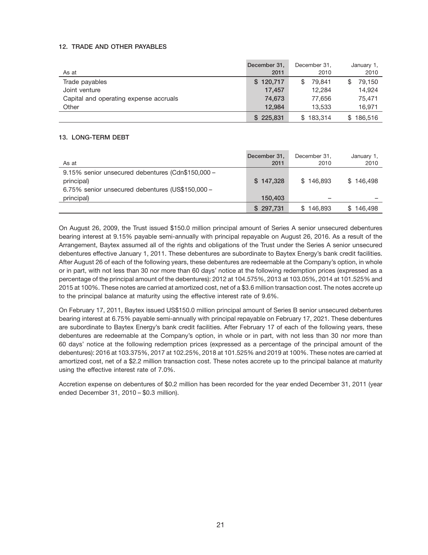#### **12. TRADE AND OTHER PAYABLES**

| As at                                  | December 31,<br>2011 | December 31,<br>2010 | January 1,<br>2010 |
|----------------------------------------|----------------------|----------------------|--------------------|
| Trade payables                         | \$120,717            | 79.841<br>S          | 79,150<br>\$.      |
| Joint venture                          | 17,457               | 12.284               | 14,924             |
| Capital and operating expense accruals | 74,673               | 77.656               | 75,471             |
| Other                                  | 12,984               | 13,533               | 16,971             |
|                                        | \$225,831            | 183,314<br>SS.       | 186,516<br>\$      |

#### **13. LONG-TERM DEBT**

| As at                                                                                                               | December 31,<br>2011 | December 31.<br>2010 | January 1,<br>2010 |
|---------------------------------------------------------------------------------------------------------------------|----------------------|----------------------|--------------------|
| 9.15% senior unsecured debentures (Cdn\$150,000 -<br>principal)<br>6.75% senior unsecured debentures (US\$150,000 - | \$147,328            | \$146.893            | \$146.498          |
| principal)                                                                                                          | 150,403              | -                    |                    |
|                                                                                                                     | \$297,731            | \$146,893            | \$146,498          |

On August 26, 2009, the Trust issued \$150.0 million principal amount of Series A senior unsecured debentures bearing interest at 9.15% payable semi-annually with principal repayable on August 26, 2016. As a result of the Arrangement, Baytex assumed all of the rights and obligations of the Trust under the Series A senior unsecured debentures effective January 1, 2011. These debentures are subordinate to Baytex Energy's bank credit facilities. After August 26 of each of the following years, these debentures are redeemable at the Company's option, in whole or in part, with not less than 30 nor more than 60 days' notice at the following redemption prices (expressed as a percentage of the principal amount of the debentures): 2012 at 104.575%, 2013 at 103.05%, 2014 at 101.525% and 2015 at 100%. These notes are carried at amortized cost, net of a \$3.6 million transaction cost. The notes accrete up to the principal balance at maturity using the effective interest rate of 9.6%.

On February 17, 2011, Baytex issued US\$150.0 million principal amount of Series B senior unsecured debentures bearing interest at 6.75% payable semi-annually with principal repayable on February 17, 2021. These debentures are subordinate to Baytex Energy's bank credit facilities. After February 17 of each of the following years, these debentures are redeemable at the Company's option, in whole or in part, with not less than 30 nor more than 60 days' notice at the following redemption prices (expressed as a percentage of the principal amount of the debentures): 2016 at 103.375%, 2017 at 102.25%, 2018 at 101.525% and 2019 at 100%. These notes are carried at amortized cost, net of a \$2.2 million transaction cost. These notes accrete up to the principal balance at maturity using the effective interest rate of 7.0%.

Accretion expense on debentures of \$0.2 million has been recorded for the year ended December 31, 2011 (year ended December 31, 2010 – \$0.3 million).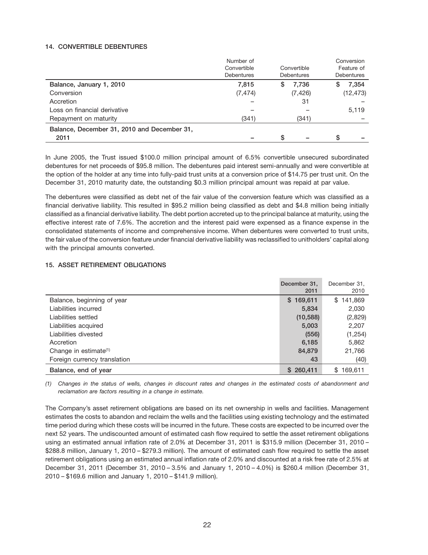#### **14. CONVERTIBLE DEBENTURES**

|                                             | Number of         |             | Conversion        |
|---------------------------------------------|-------------------|-------------|-------------------|
|                                             | Convertible       | Convertible | Feature of        |
|                                             | <b>Debentures</b> | Debentures  | <b>Debentures</b> |
| Balance, January 1, 2010                    | 7,815             | 7,736<br>S  | 7,354<br>S        |
| Conversion                                  | (7, 474)          | (7, 426)    | (12, 473)         |
| Accretion                                   |                   | 31          |                   |
| Loss on financial derivative                |                   |             | 5,119             |
| Repayment on maturity                       | (341)             | (341)       |                   |
| Balance, December 31, 2010 and December 31, |                   |             |                   |
| 2011                                        |                   | \$          | S                 |

In June 2005, the Trust issued \$100.0 million principal amount of 6.5% convertible unsecured subordinated debentures for net proceeds of \$95.8 million. The debentures paid interest semi-annually and were convertible at the option of the holder at any time into fully-paid trust units at a conversion price of \$14.75 per trust unit. On the December 31, 2010 maturity date, the outstanding \$0.3 million principal amount was repaid at par value.

The debentures were classified as debt net of the fair value of the conversion feature which was classified as a financial derivative liability. This resulted in \$95.2 million being classified as debt and \$4.8 million being initially classified as a financial derivative liability. The debt portion accreted up to the principal balance at maturity, using the effective interest rate of 7.6%. The accretion and the interest paid were expensed as a finance expense in the consolidated statements of income and comprehensive income. When debentures were converted to trust units, the fair value of the conversion feature under financial derivative liability was reclassified to unitholders' capital along with the principal amounts converted.

#### **15. ASSET RETIREMENT OBLIGATIONS**

|                                   | December 31.<br>2011 | December 31.<br>2010 |
|-----------------------------------|----------------------|----------------------|
| Balance, beginning of year        | \$169,611            | 141,869<br>\$        |
| Liabilities incurred              | 5,834                | 2,030                |
| Liabilities settled               | (10, 588)            | (2,829)              |
| Liabilities acquired              | 5,003                | 2,207                |
| Liabilities divested              | (556)                | (1, 254)             |
| Accretion                         | 6,185                | 5,862                |
| Change in estimate <sup>(1)</sup> | 84,879               | 21,766               |
| Foreign currency translation      | 43                   | (40)                 |
| Balance, end of year              | \$260,411            | 169,611<br>\$        |

*(1) Changes in the status of wells, changes in discount rates and changes in the estimated costs of abandonment and reclamation are factors resulting in a change in estimate.*

The Company's asset retirement obligations are based on its net ownership in wells and facilities. Management estimates the costs to abandon and reclaim the wells and the facilities using existing technology and the estimated time period during which these costs will be incurred in the future. These costs are expected to be incurred over the next 52 years. The undiscounted amount of estimated cash flow required to settle the asset retirement obligations using an estimated annual inflation rate of 2.0% at December 31, 2011 is \$315.9 million (December 31, 2010 – \$288.8 million, January 1, 2010 – \$279.3 million). The amount of estimated cash flow required to settle the asset retirement obligations using an estimated annual inflation rate of 2.0% and discounted at a risk free rate of 2.5% at December 31, 2011 (December 31, 2010 – 3.5% and January 1, 2010 – 4.0%) is \$260.4 million (December 31, 2010 – \$169.6 million and January 1, 2010 – \$141.9 million).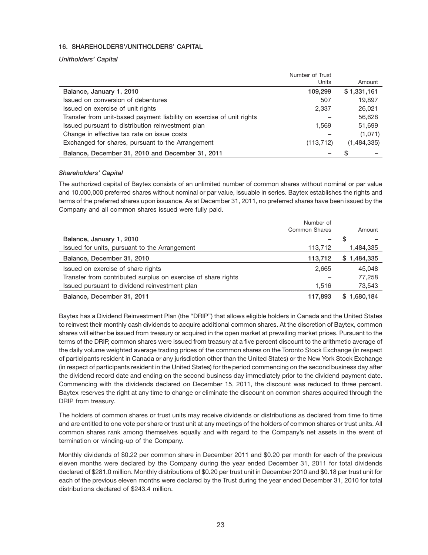#### **16. SHAREHOLDERS'/UNITHOLDERS' CAPITAL**

*Unitholders' Capital*

|                                                                       | Number of Trust<br>Units | Amount      |
|-----------------------------------------------------------------------|--------------------------|-------------|
| Balance, January 1, 2010                                              | 109,299                  | \$1,331,161 |
| Issued on conversion of debentures                                    | 507                      | 19,897      |
| Issued on exercise of unit rights                                     | 2,337                    | 26,021      |
| Transfer from unit-based payment liability on exercise of unit rights |                          | 56,628      |
| Issued pursuant to distribution reinvestment plan                     | 1.569                    | 51,699      |
| Change in effective tax rate on issue costs                           |                          | (1,071)     |
| Exchanged for shares, pursuant to the Arrangement                     | (113, 712)               | (1,484,335) |
| Balance, December 31, 2010 and December 31, 2011                      | -                        |             |

#### *Shareholders' Capital*

The authorized capital of Baytex consists of an unlimited number of common shares without nominal or par value and 10,000,000 preferred shares without nominal or par value, issuable in series. Baytex establishes the rights and terms of the preferred shares upon issuance. As at December 31, 2011, no preferred shares have been issued by the Company and all common shares issued were fully paid.

|                                                               | Number of            |             |
|---------------------------------------------------------------|----------------------|-------------|
|                                                               | <b>Common Shares</b> | Amount      |
| Balance, January 1, 2010                                      | -                    |             |
| Issued for units, pursuant to the Arrangement                 | 113,712              | 1,484,335   |
| Balance, December 31, 2010                                    | 113,712              | \$1,484,335 |
| Issued on exercise of share rights                            | 2.665                | 45,048      |
| Transfer from contributed surplus on exercise of share rights |                      | 77,258      |
| Issued pursuant to dividend reinvestment plan                 | 1.516                | 73,543      |
| Balance, December 31, 2011                                    | 117,893              | \$1,680,184 |

Baytex has a Dividend Reinvestment Plan (the "DRIP") that allows eligible holders in Canada and the United States to reinvest their monthly cash dividends to acquire additional common shares. At the discretion of Baytex, common shares will either be issued from treasury or acquired in the open market at prevailing market prices. Pursuant to the terms of the DRIP, common shares were issued from treasury at a five percent discount to the arithmetic average of the daily volume weighted average trading prices of the common shares on the Toronto Stock Exchange (in respect of participants resident in Canada or any jurisdiction other than the United States) or the New York Stock Exchange (in respect of participants resident in the United States) for the period commencing on the second business day after the dividend record date and ending on the second business day immediately prior to the dividend payment date. Commencing with the dividends declared on December 15, 2011, the discount was reduced to three percent. Baytex reserves the right at any time to change or eliminate the discount on common shares acquired through the DRIP from treasury.

The holders of common shares or trust units may receive dividends or distributions as declared from time to time and are entitled to one vote per share or trust unit at any meetings of the holders of common shares or trust units. All common shares rank among themselves equally and with regard to the Company's net assets in the event of termination or winding-up of the Company.

Monthly dividends of \$0.22 per common share in December 2011 and \$0.20 per month for each of the previous eleven months were declared by the Company during the year ended December 31, 2011 for total dividends declared of \$281.0 million. Monthly distributions of \$0.20 per trust unit in December 2010 and \$0.18 per trust unit for each of the previous eleven months were declared by the Trust during the year ended December 31, 2010 for total distributions declared of \$243.4 million.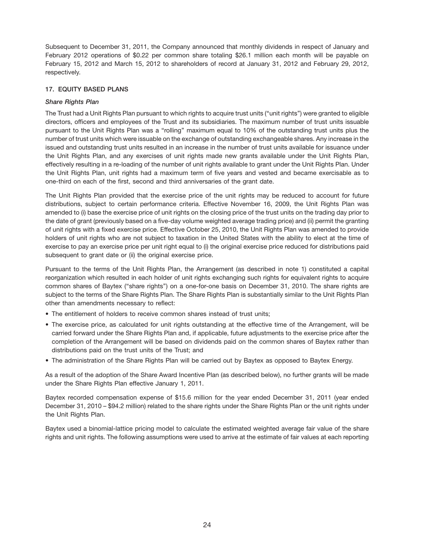Subsequent to December 31, 2011, the Company announced that monthly dividends in respect of January and February 2012 operations of \$0.22 per common share totaling \$26.1 million each month will be payable on February 15, 2012 and March 15, 2012 to shareholders of record at January 31, 2012 and February 29, 2012, respectively.

## **17. EQUITY BASED PLANS**

#### *Share Rights Plan*

The Trust had a Unit Rights Plan pursuant to which rights to acquire trust units (''unit rights'') were granted to eligible directors, officers and employees of the Trust and its subsidiaries. The maximum number of trust units issuable pursuant to the Unit Rights Plan was a ''rolling'' maximum equal to 10% of the outstanding trust units plus the number of trust units which were issuable on the exchange of outstanding exchangeable shares. Any increase in the issued and outstanding trust units resulted in an increase in the number of trust units available for issuance under the Unit Rights Plan, and any exercises of unit rights made new grants available under the Unit Rights Plan, effectively resulting in a re-loading of the number of unit rights available to grant under the Unit Rights Plan. Under the Unit Rights Plan, unit rights had a maximum term of five years and vested and became exercisable as to one-third on each of the first, second and third anniversaries of the grant date.

The Unit Rights Plan provided that the exercise price of the unit rights may be reduced to account for future distributions, subject to certain performance criteria. Effective November 16, 2009, the Unit Rights Plan was amended to (i) base the exercise price of unit rights on the closing price of the trust units on the trading day prior to the date of grant (previously based on a five-day volume weighted average trading price) and (ii) permit the granting of unit rights with a fixed exercise price. Effective October 25, 2010, the Unit Rights Plan was amended to provide holders of unit rights who are not subject to taxation in the United States with the ability to elect at the time of exercise to pay an exercise price per unit right equal to (i) the original exercise price reduced for distributions paid subsequent to grant date or (ii) the original exercise price.

Pursuant to the terms of the Unit Rights Plan, the Arrangement (as described in note 1) constituted a capital reorganization which resulted in each holder of unit rights exchanging such rights for equivalent rights to acquire common shares of Baytex (''share rights'') on a one-for-one basis on December 31, 2010. The share rights are subject to the terms of the Share Rights Plan. The Share Rights Plan is substantially similar to the Unit Rights Plan other than amendments necessary to reflect:

- The entitlement of holders to receive common shares instead of trust units;
- The exercise price, as calculated for unit rights outstanding at the effective time of the Arrangement, will be carried forward under the Share Rights Plan and, if applicable, future adjustments to the exercise price after the completion of the Arrangement will be based on dividends paid on the common shares of Baytex rather than distributions paid on the trust units of the Trust; and
- The administration of the Share Rights Plan will be carried out by Baytex as opposed to Baytex Energy.

As a result of the adoption of the Share Award Incentive Plan (as described below), no further grants will be made under the Share Rights Plan effective January 1, 2011.

Baytex recorded compensation expense of \$15.6 million for the year ended December 31, 2011 (year ended December 31, 2010 – \$94.2 million) related to the share rights under the Share Rights Plan or the unit rights under the Unit Rights Plan.

Baytex used a binomial-lattice pricing model to calculate the estimated weighted average fair value of the share rights and unit rights. The following assumptions were used to arrive at the estimate of fair values at each reporting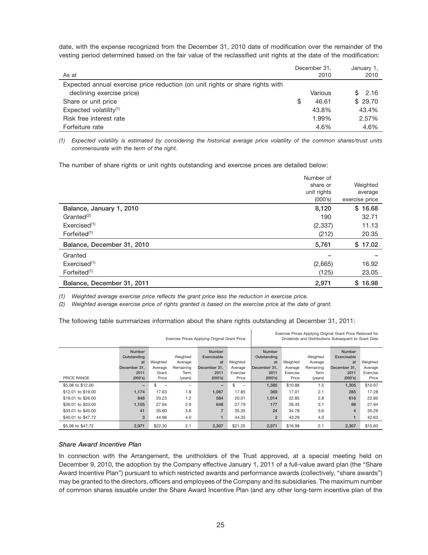date, with the expense recognized from the December 31, 2010 date of modification over the remainder of the vesting period determined based on the fair value of the reclassified unit rights at the date of the modification:

| As at                                                                         |   | December 31,<br>2010 | January 1,<br>2010 |
|-------------------------------------------------------------------------------|---|----------------------|--------------------|
| Expected annual exercise price reduction (on unit rights or share rights with |   |                      |                    |
| declining exercise price)                                                     |   | Various              | \$2.16             |
| Share or unit price                                                           | S | 46.61                | \$29.70            |
| Expected volatility <sup>(1)</sup>                                            |   | 43.8%                | 43.4%              |
| Risk free interest rate                                                       |   | 1.99%                | 2.57%              |
| Forfeiture rate                                                               |   | 4.6%                 | 4.6%               |

*(1) Expected volatility is estimated by considering the historical average price volatility of the common shares/trust units commensurate with the term of the right.*

The number of share rights or unit rights outstanding and exercise prices are detailed below:

|                            | Number of   |                |
|----------------------------|-------------|----------------|
|                            | share or    | Weighted       |
|                            | unit rights | average        |
|                            | (000's)     | exercise price |
| Balance, January 1, 2010   | 8,120       | \$16.68        |
| Granted <sup>(2)</sup>     | 190         | 32.71          |
| Exercised <sup>(1)</sup>   | (2, 337)    | 11.13          |
| Forfeited $(1)$            | (212)       | 20.35          |
| Balance, December 31, 2010 | 5,761       | \$17.02        |
| Granted                    |             |                |
| Exercised <sup>(1)</sup>   | (2,665)     | 16.92          |
| Forfeited $(1)$            | (125)       | 23.05          |
| Balance, December 31, 2011 | 2,971       | \$16.98        |

*(1) Weighted average exercise price reflects the grant price less the reduction in exercise price.*

*(2) Weighted average exercise price of rights granted is based on the exercise price at the date of grant.*

The following table summarizes information about the share rights outstanding at December 31, 2011:

|                    | Exercise Prices Applying Original Grant Price |                                |           |                          |                       |                |          | Exercise Prices Applying Original Grant Price Reduced for<br>Dividends and Distributions Subsequent to Grant Date |                |          |
|--------------------|-----------------------------------------------|--------------------------------|-----------|--------------------------|-----------------------|----------------|----------|-------------------------------------------------------------------------------------------------------------------|----------------|----------|
|                    | Number                                        |                                |           | Number                   |                       | <b>Number</b>  |          |                                                                                                                   | <b>Number</b>  |          |
|                    | Outstanding                                   |                                | Weighted  | Exercisable              |                       | Outstanding    |          | Weighted                                                                                                          | Exercisable    |          |
|                    | at                                            | Weighted                       | Average   | at                       | Weighted              | at             | Weighted | Average                                                                                                           | at             | Weighted |
|                    | December 31,                                  | Average                        | Remaining | December 31,             | Average               | December 31,   | Average  | Remaining                                                                                                         | December 31.   | Average  |
|                    | 2011                                          | Grant                          | Term      | 2011                     | Exercise              | 2011           | Exercise | Term                                                                                                              | 2011           | Exercise |
| PRICE RANGE        | (000's)                                       | Price                          | (years)   | (000's)                  | Price                 | (000's)        | Price    | (years)                                                                                                           | (000's)        | Price    |
| \$5.08 to \$12.00  | $\overline{\phantom{0}}$                      | \$<br>$\overline{\phantom{a}}$ | -         | $\overline{\phantom{0}}$ | \$<br>$\qquad \qquad$ | 1,385          | \$10.88  | 1.5                                                                                                               | 1,305          | \$10.97  |
| \$12.01 to \$19.00 | 1,174                                         | 17.63                          | 1.8       | 1,067                    | 17.85                 | 369            | 17.01    | 2.1                                                                                                               | 285            | 17.28    |
| \$19.01 to \$26.00 | 648                                           | 20.23                          | 1.2       | 584                      | 20.01                 | 1,014          | 22.85    | 2.8                                                                                                               | 616            | 22.85    |
| \$26.01 to \$33.00 | 1,105                                         | 27.94                          | 2.9       | 648                      | 27.79                 | 177            | 28.45    | 3.1                                                                                                               | 96             | 27.94    |
| \$33.01 to \$40.00 | 41                                            | 35.60                          | 3.6       |                          | 35.35                 | 24             | 34.78    | 3.6                                                                                                               | $\overline{4}$ | 35.29    |
| \$40.01 to \$47.72 | 3                                             | 44.96                          | 4.0       |                          | 44.35                 | $\overline{2}$ | 43.29    | 4.0                                                                                                               | $\blacksquare$ | 42.63    |
| \$5.08 to \$47.72  | 2,971                                         | \$22.30                        | 2.1       | 2,307                    | \$21.25               | 2,971          | \$16.98  | 2.1                                                                                                               | 2,307          | \$15.60  |

 $\mathbf{L}$ 

#### *Share Award Incentive Plan*

In connection with the Arrangement, the unitholders of the Trust approved, at a special meeting held on December 9, 2010, the adoption by the Company effective January 1, 2011 of a full-value award plan (the ''Share Award Incentive Plan'') pursuant to which restricted awards and performance awards (collectively, ''share awards'') may be granted to the directors, officers and employees of the Company and its subsidiaries. The maximum number of common shares issuable under the Share Award Incentive Plan (and any other long-term incentive plan of the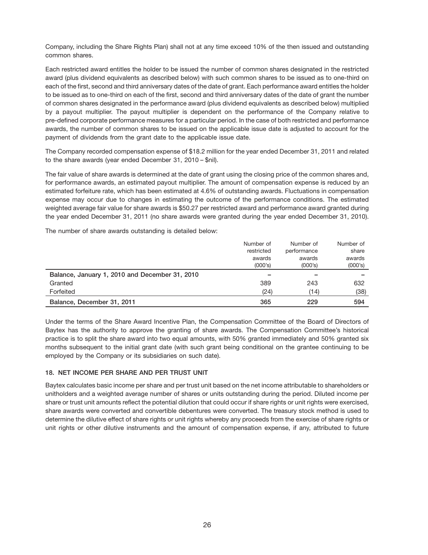Company, including the Share Rights Plan) shall not at any time exceed 10% of the then issued and outstanding common shares.

Each restricted award entitles the holder to be issued the number of common shares designated in the restricted award (plus dividend equivalents as described below) with such common shares to be issued as to one-third on each of the first, second and third anniversary dates of the date of grant. Each performance award entitles the holder to be issued as to one-third on each of the first, second and third anniversary dates of the date of grant the number of common shares designated in the performance award (plus dividend equivalents as described below) multiplied by a payout multiplier. The payout multiplier is dependent on the performance of the Company relative to pre-defined corporate performance measures for a particular period. In the case of both restricted and performance awards, the number of common shares to be issued on the applicable issue date is adjusted to account for the payment of dividends from the grant date to the applicable issue date.

The Company recorded compensation expense of \$18.2 million for the year ended December 31, 2011 and related to the share awards (year ended December 31, 2010 – \$nil).

The fair value of share awards is determined at the date of grant using the closing price of the common shares and, for performance awards, an estimated payout multiplier. The amount of compensation expense is reduced by an estimated forfeiture rate, which has been estimated at 4.6% of outstanding awards. Fluctuations in compensation expense may occur due to changes in estimating the outcome of the performance conditions. The estimated weighted average fair value for share awards is \$50.27 per restricted award and performance award granted during the year ended December 31, 2011 (no share awards were granted during the year ended December 31, 2010).

The number of share awards outstanding is detailed below:

|                                                | Number of  | Number of   | Number of |
|------------------------------------------------|------------|-------------|-----------|
|                                                | restricted | performance | share     |
|                                                | awards     | awards      | awards    |
|                                                | (000's)    | (000's)     | (000's)   |
| Balance, January 1, 2010 and December 31, 2010 |            |             |           |
| Granted                                        | 389        | 243         | 632       |
| Forfeited                                      | (24)       | (14)        | (38)      |
| Balance, December 31, 2011                     | 365        | 229         | 594       |

Under the terms of the Share Award Incentive Plan, the Compensation Committee of the Board of Directors of Baytex has the authority to approve the granting of share awards. The Compensation Committee's historical practice is to split the share award into two equal amounts, with 50% granted immediately and 50% granted six months subsequent to the initial grant date (with such grant being conditional on the grantee continuing to be employed by the Company or its subsidiaries on such date).

#### **18. NET INCOME PER SHARE AND PER TRUST UNIT**

Baytex calculates basic income per share and per trust unit based on the net income attributable to shareholders or unitholders and a weighted average number of shares or units outstanding during the period. Diluted income per share or trust unit amounts reflect the potential dilution that could occur if share rights or unit rights were exercised, share awards were converted and convertible debentures were converted. The treasury stock method is used to determine the dilutive effect of share rights or unit rights whereby any proceeds from the exercise of share rights or unit rights or other dilutive instruments and the amount of compensation expense, if any, attributed to future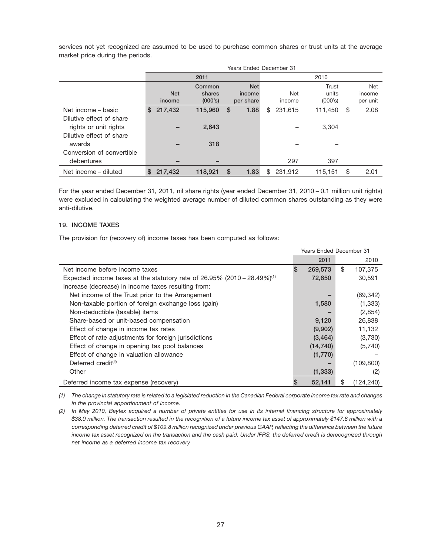services not yet recognized are assumed to be used to purchase common shares or trust units at the average market price during the periods.

|                           |    | Years Ended December 31 |         |          |            |    |         |         |    |            |
|---------------------------|----|-------------------------|---------|----------|------------|----|---------|---------|----|------------|
|                           |    |                         | 2011    |          |            |    |         | 2010    |    |            |
|                           |    |                         | Common  |          | <b>Net</b> |    |         | Trust   |    | <b>Net</b> |
|                           |    | <b>Net</b>              | shares  |          | income     |    | Net     | units   |    | income     |
|                           |    | income                  | (000's) |          | per share  |    | income  | (000's) |    | per unit   |
| Net income – basic        | S. | 217,432                 | 115,960 | <b>S</b> | 1.88       | \$ | 231,615 | 111,450 | \$ | 2.08       |
| Dilutive effect of share  |    |                         |         |          |            |    |         |         |    |            |
| rights or unit rights     |    |                         | 2,643   |          |            |    |         | 3,304   |    |            |
| Dilutive effect of share  |    |                         |         |          |            |    |         |         |    |            |
| awards                    |    |                         | 318     |          |            |    |         |         |    |            |
| Conversion of convertible |    |                         |         |          |            |    |         |         |    |            |
| debentures                |    |                         |         |          |            |    | 297     | 397     |    |            |
| Net income – diluted      | S. | 217,432                 | 118,921 | <b>S</b> | 1.83       | \$ | 231.912 | 115.151 | \$ | 2.01       |

For the year ended December 31, 2011, nil share rights (year ended December 31, 2010 – 0.1 million unit rights) were excluded in calculating the weighted average number of diluted common shares outstanding as they were anti-dilutive.

## **19. INCOME TAXES**

The provision for (recovery of) income taxes has been computed as follows:

|                                                                                         | Years Ended December 31 |     |            |
|-----------------------------------------------------------------------------------------|-------------------------|-----|------------|
|                                                                                         | 2011                    |     | 2010       |
| Net income before income taxes                                                          | \$<br>269,573           | \$  | 107,375    |
| Expected income taxes at the statutory rate of $26.95\%$ (2010 – 28.49%) <sup>(1)</sup> | 72,650                  |     | 30,591     |
| Increase (decrease) in income taxes resulting from:                                     |                         |     |            |
| Net income of the Trust prior to the Arrangement                                        |                         |     | (69, 342)  |
| Non-taxable portion of foreign exchange loss (gain)                                     | 1,580                   |     | (1, 333)   |
| Non-deductible (taxable) items                                                          |                         |     | (2,854)    |
| Share-based or unit-based compensation                                                  | 9,120                   |     | 26,838     |
| Effect of change in income tax rates                                                    | (9,902)                 |     | 11,132     |
| Effect of rate adjustments for foreign jurisdictions                                    | (3, 464)                |     | (3,730)    |
| Effect of change in opening tax pool balances                                           | (14, 740)               |     | (5,740)    |
| Effect of change in valuation allowance                                                 | (1,770)                 |     |            |
| Deferred credit <sup>(2)</sup>                                                          |                         |     | (109, 800) |
| Other                                                                                   | (1, 333)                |     | (2)        |
| Deferred income tax expense (recovery)                                                  | 52,141<br>S             | \$. | (124, 240) |

*(1) The change in statutory rate is related to a legislated reduction in the Canadian Federal corporate income tax rate and changes in the provincial apportionment of income.*

*(2) In May 2010, Baytex acquired a number of private entities for use in its internal financing structure for approximately \$38.0 million. The transaction resulted in the recognition of a future income tax asset of approximately \$147.8 million with a corresponding deferred credit of \$109.8 million recognized under previous GAAP, reflecting the difference between the future income tax asset recognized on the transaction and the cash paid. Under IFRS, the deferred credit is derecognized through net income as a deferred income tax recovery.*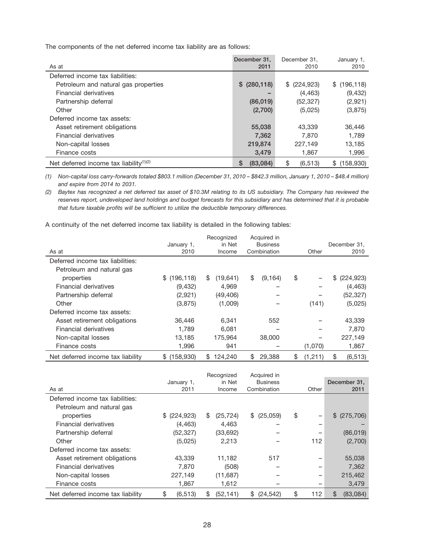The components of the net deferred income tax liability are as follows:

|                                                     | December 31.  | December 31.   | January 1,      |
|-----------------------------------------------------|---------------|----------------|-----------------|
| As at                                               | 2011          | 2010           | 2010            |
| Deferred income tax liabilities:                    |               |                |                 |
| Petroleum and natural gas properties                | \$ (280, 118) | \$ (224, 923)  | \$(196, 118)    |
| Financial derivatives                               |               | (4, 463)       | (9, 432)        |
| Partnership deferral                                | (86,019)      | (52, 327)      | (2,921)         |
| Other                                               | (2,700)       | (5,025)        | (3,875)         |
| Deferred income tax assets:                         |               |                |                 |
| Asset retirement obligations                        | 55,038        | 43,339         | 36,446          |
| Financial derivatives                               | 7.362         | 7.870          | 1.789           |
| Non-capital losses                                  | 219,874       | 227.149        | 13.185          |
| Finance costs                                       | 3,479         | 1,867          | 1,996           |
| Net deferred income tax liability <sup>(1)(2)</sup> | S<br>(83,084) | \$<br>(6, 513) | (158,930)<br>\$ |

*(1) Non-capital loss carry-forwards totaled \$803.1 million (December 31, 2010 – \$842.3 million, January 1, 2010 – \$48.4 million) and expire from 2014 to 2031.*

*(2) Baytex has recognized a net deferred tax asset of \$10.3M relating to its US subsidiary. The Company has reviewed the reserves report, undeveloped land holdings and budget forecasts for this subsidiary and has determined that it is probable that future taxable profits will be sufficient to utilize the deductible temporary differences.*

A continuity of the net deferred income tax liability is detailed in the following tables:

|                                   | Recognized      |                | Acquired in     |               |               |
|-----------------------------------|-----------------|----------------|-----------------|---------------|---------------|
|                                   | January 1,      | in Net         | <b>Business</b> |               | December 31.  |
| As at                             | 2010            | Income         | Combination     | Other         | 2010          |
| Deferred income tax liabilities:  |                 |                |                 |               |               |
| Petroleum and natural gas         |                 |                |                 |               |               |
| properties                        | \$(196, 118)    | \$<br>(19,641) | \$<br>(9, 164)  | \$            | \$ (224, 923) |
| <b>Financial derivatives</b>      | (9,432)         | 4.969          |                 |               | (4, 463)      |
| Partnership deferral              | (2,921)         | (49, 406)      |                 |               | (52, 327)     |
| Other                             | (3,875)         | (1,009)        |                 | (141)         | (5,025)       |
| Deferred income tax assets:       |                 |                |                 |               |               |
| Asset retirement obligations      | 36,446          | 6.341          | 552             |               | 43,339        |
| Financial derivatives             | 1,789           | 6,081          |                 |               | 7,870         |
| Non-capital losses                | 13.185          | 175.964        | 38,000          |               | 227,149       |
| Finance costs                     | 1.996           | 941            |                 | (1,070)       | 1,867         |
| Net deferred income tax liability | (158.930)<br>\$ | 124.240<br>\$  | 29,388<br>\$    | \$<br>(1,211) | (6, 513)<br>S |

|                                   |                | Recognized      | Acquired in     |           |               |
|-----------------------------------|----------------|-----------------|-----------------|-----------|---------------|
|                                   | January 1,     | in Net          | <b>Business</b> |           | December 31,  |
| As at                             | 2011           | Income          | Combination     | Other     | 2011          |
| Deferred income tax liabilities:  |                |                 |                 |           |               |
| Petroleum and natural gas         |                |                 |                 |           |               |
| properties                        | \$ (224, 923)  | \$<br>(25, 724) | (25,059)<br>\$  | \$        | \$ (275,706)  |
| Financial derivatives             | (4, 463)       | 4.463           |                 |           |               |
| Partnership deferral              | (52, 327)      | (33,692)        |                 |           | (86,019)      |
| Other                             | (5,025)        | 2,213           |                 | 112       | (2,700)       |
| Deferred income tax assets:       |                |                 |                 |           |               |
| Asset retirement obligations      | 43,339         | 11,182          | 517             |           | 55,038        |
| Financial derivatives             | 7.870          | (508)           |                 |           | 7,362         |
| Non-capital losses                | 227,149        | (11,687)        |                 |           | 215,462       |
| Finance costs                     | 1,867          | 1,612           |                 |           | 3.479         |
| Net deferred income tax liability | \$<br>(6, 513) | (52, 141)<br>S  | (24, 542)<br>\$ | \$<br>112 | (83,084)<br>S |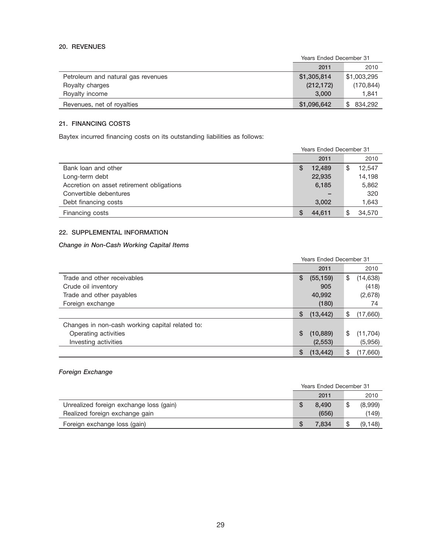## **20. REVENUES**

|                                    | <b>Years Ended December 31</b> |             |  |
|------------------------------------|--------------------------------|-------------|--|
|                                    | 2011                           | 2010        |  |
| Petroleum and natural gas revenues | \$1,305,814                    | \$1,003,295 |  |
| Royalty charges                    | (212, 172)                     | (170, 844)  |  |
| Royalty income                     | 3.000                          | 1.841       |  |
| Revenues, net of royalties         | \$1,096,642                    | 834.292     |  |

## **21. FINANCING COSTS**

Baytex incurred financing costs on its outstanding liabilities as follows:

|                                           | <b>Years Ended December 31</b> |              |  |
|-------------------------------------------|--------------------------------|--------------|--|
|                                           | 2011                           | 2010         |  |
| Bank loan and other                       | 12.489<br>S                    | 12,547<br>\$ |  |
| Long-term debt                            | 22,935                         | 14,198       |  |
| Accretion on asset retirement obligations | 6,185                          | 5,862        |  |
| Convertible debentures                    | -                              | 320          |  |
| Debt financing costs                      | 3.002                          | 1,643        |  |
| Financing costs                           | 44.611<br>S.                   | 34,570<br>\$ |  |

## **22. SUPPLEMENTAL INFORMATION**

#### *Change in Non-Cash Working Capital Items*

|                                                 | <b>Years Ended December 31</b> |           |    |           |
|-------------------------------------------------|--------------------------------|-----------|----|-----------|
|                                                 |                                | 2011      |    | 2010      |
| Trade and other receivables                     | S                              | (55, 159) | \$ | (14, 638) |
| Crude oil inventory                             |                                | 905       |    | (418)     |
| Trade and other payables                        |                                | 40,992    |    | (2,678)   |
| Foreign exchange                                |                                | (180)     |    | 74        |
|                                                 | S                              | (13, 442) | \$ | (17,660)  |
| Changes in non-cash working capital related to: |                                |           |    |           |
| Operating activities                            | S                              | (10, 889) | \$ | (11, 704) |
| Investing activities                            |                                | (2, 553)  |    | (5,956)   |
|                                                 | S                              | (13, 442) | \$ | (17,660)  |

# *Foreign Exchange*

|                                         | Years Ended December 31 |       |    |          |
|-----------------------------------------|-------------------------|-------|----|----------|
|                                         |                         | 2011  |    | 2010     |
| Unrealized foreign exchange loss (gain) |                         | 8.490 | \$ | (8,999)  |
| Realized foreign exchange gain          |                         | (656) |    | (149)    |
| Foreign exchange loss (gain)            |                         | 7.834 |    | (9, 148) |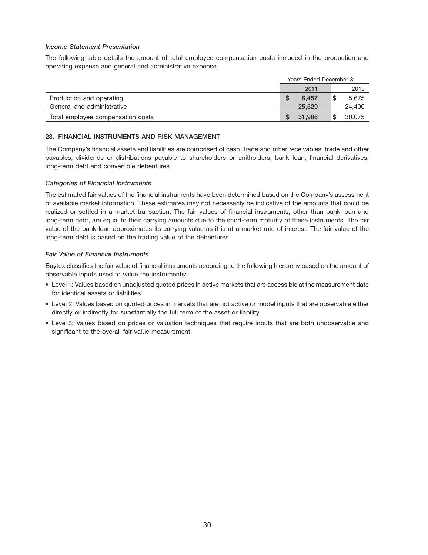#### *Income Statement Presentation*

The following table details the amount of total employee compensation costs included in the production and operating expense and general and administrative expense.

|                                   | Years Ended December 31 |        |  |        |
|-----------------------------------|-------------------------|--------|--|--------|
|                                   |                         | 2011   |  | 2010   |
| Production and operating          |                         | 6.457  |  | 5.675  |
| General and administrative        |                         | 25,529 |  | 24,400 |
| Total employee compensation costs |                         | 31.986 |  | 30.075 |

#### **23. FINANCIAL INSTRUMENTS AND RISK MANAGEMENT**

The Company's financial assets and liabilities are comprised of cash, trade and other receivables, trade and other payables, dividends or distributions payable to shareholders or unitholders, bank loan, financial derivatives, long-term debt and convertible debentures.

#### *Categories of Financial Instruments*

The estimated fair values of the financial instruments have been determined based on the Company's assessment of available market information. These estimates may not necessarily be indicative of the amounts that could be realized or settled in a market transaction. The fair values of financial instruments, other than bank loan and long-term debt, are equal to their carrying amounts due to the short-term maturity of these instruments. The fair value of the bank loan approximates its carrying value as it is at a market rate of interest. The fair value of the long-term debt is based on the trading value of the debentures.

#### *Fair Value of Financial Instruments*

Baytex classifies the fair value of financial instruments according to the following hierarchy based on the amount of observable inputs used to value the instruments:

- Level 1: Values based on unadjusted quoted prices in active markets that are accessible at the measurement date for identical assets or liabilities.
- Level 2: Values based on quoted prices in markets that are not active or model inputs that are observable either directly or indirectly for substantially the full term of the asset or liability.
- Level 3: Values based on prices or valuation techniques that require inputs that are both unobservable and significant to the overall fair value measurement.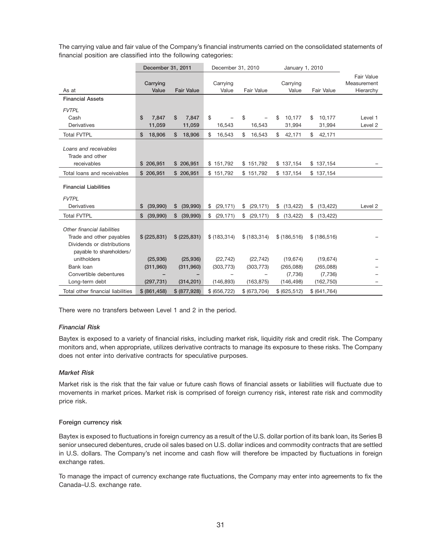The carrying value and fair value of the Company's financial instruments carried on the consolidated statements of financial position are classified into the following categories:

|                                                                                                                   |                   | December 31, 2011<br>December 31, 2010 |                   |                   | January 1, 2010   |                 |                                               |
|-------------------------------------------------------------------------------------------------------------------|-------------------|----------------------------------------|-------------------|-------------------|-------------------|-----------------|-----------------------------------------------|
| As at                                                                                                             | Carrying<br>Value | <b>Fair Value</b>                      | Carrying<br>Value | <b>Fair Value</b> | Carrying<br>Value | Fair Value      | <b>Fair Value</b><br>Measurement<br>Hierarchy |
| <b>Financial Assets</b>                                                                                           |                   |                                        |                   |                   |                   |                 |                                               |
| <b>FVTPL</b>                                                                                                      |                   |                                        |                   |                   |                   |                 |                                               |
| Cash                                                                                                              | \$<br>7.847       | \$<br>7.847                            | \$                | \$                | \$<br>10.177      | 10.177<br>\$    | Level 1                                       |
| Derivatives                                                                                                       | 11,059            | 11,059                                 | 16,543            | 16,543            | 31,994            | 31,994          | Level 2                                       |
| <b>Total FVTPL</b>                                                                                                | 18,906<br>\$      | 18,906<br>\$                           | \$<br>16,543      | \$<br>16,543      | \$<br>42,171      | \$<br>42,171    |                                               |
| Loans and receivables<br>Trade and other<br>receivables                                                           | \$206,951         | \$206,951                              | \$151,792         | \$151,792         | \$137,154         | \$137,154       |                                               |
|                                                                                                                   |                   |                                        |                   |                   |                   |                 |                                               |
| Total loans and receivables                                                                                       | \$206,951         | \$206,951                              | \$151,792         | \$151,792         | \$137,154         | \$137,154       |                                               |
| <b>Financial Liabilities</b>                                                                                      |                   |                                        |                   |                   |                   |                 |                                               |
| <b>FVTPL</b>                                                                                                      |                   |                                        |                   |                   |                   |                 |                                               |
| Derivatives                                                                                                       | (39,990)<br>\$    | (39,990)<br>\$                         | (29, 171)<br>\$   | (29, 171)<br>\$   | (13, 422)<br>\$   | (13, 422)<br>\$ | Level 2                                       |
| <b>Total FVTPL</b>                                                                                                | \$<br>(39,990)    | \$<br>(39,990)                         | \$<br>(29, 171)   | \$<br>(29, 171)   | \$<br>(13, 422)   | \$<br>(13, 422) |                                               |
| Other financial liabilities<br>Trade and other payables<br>Dividends or distributions<br>payable to shareholders/ | \$ (225,831)      | \$ (225,831)                           | \$ (183, 314)     | \$ (183, 314)     | \$ (186, 516)     | \$ (186, 516)   |                                               |
| unitholders                                                                                                       | (25,936)          | (25,936)                               | (22, 742)         | (22, 742)         | (19,674)          | (19, 674)       |                                               |
| Bank loan                                                                                                         | (311,960)         | (311,960)                              | (303, 773)        | (303, 773)        | (265,088)         | (265,088)       |                                               |
| Convertible debentures                                                                                            |                   |                                        |                   |                   | (7, 736)          | (7, 736)        |                                               |
| Long-term debt                                                                                                    | (297, 731)        | (314, 201)                             | (146, 893)        | (163, 875)        | (146, 498)        | (162, 750)      |                                               |
| Total other financial liabilities                                                                                 | \$ (861, 458)     | \$ (877,928)                           | \$ (656, 722)     | \$ (673, 704)     | \$ (625, 512)     | \$ (641, 764)   |                                               |

There were no transfers between Level 1 and 2 in the period.

## *Financial Risk*

Baytex is exposed to a variety of financial risks, including market risk, liquidity risk and credit risk. The Company monitors and, when appropriate, utilizes derivative contracts to manage its exposure to these risks. The Company does not enter into derivative contracts for speculative purposes.

#### *Market Risk*

Market risk is the risk that the fair value or future cash flows of financial assets or liabilities will fluctuate due to movements in market prices. Market risk is comprised of foreign currency risk, interest rate risk and commodity price risk.

#### **Foreign currency risk**

Baytex is exposed to fluctuations in foreign currency as a result of the U.S. dollar portion of its bank loan, its Series B senior unsecured debentures, crude oil sales based on U.S. dollar indices and commodity contracts that are settled in U.S. dollars. The Company's net income and cash flow will therefore be impacted by fluctuations in foreign exchange rates.

To manage the impact of currency exchange rate fluctuations, the Company may enter into agreements to fix the Canada–U.S. exchange rate.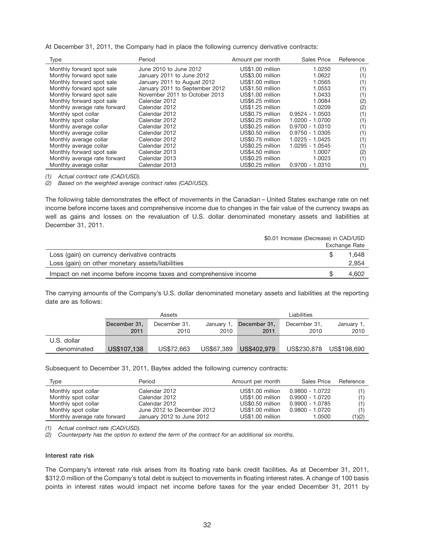At December 31, 2011, the Company had in place the following currency derivative contracts:

| Type                         | Period                         | Amount per month | Sales Price       | Reference |
|------------------------------|--------------------------------|------------------|-------------------|-----------|
| Monthly forward spot sale    | June 2010 to June 2012         | US\$1.00 million | 1.0250            | (1)       |
| Monthly forward spot sale    | January 2011 to June 2012      | US\$3.00 million | 1.0622            | (1)       |
| Monthly forward spot sale    | January 2011 to August 2012    | US\$1.00 million | 1.0565            | (1)       |
| Monthly forward spot sale    | January 2011 to September 2012 | US\$1.50 million | 1.0553            | (1)       |
| Monthly forward spot sale    | November 2011 to October 2013  | US\$1.00 million | 1.0433            | (1)       |
| Monthly forward spot sale    | Calendar 2012                  | US\$6.25 million | 1.0084            | (2)       |
| Monthly average rate forward | Calendar 2012                  | US\$1.25 million | 1.0209            | (2)       |
| Monthly spot collar          | Calendar 2012                  | US\$0.75 million | $0.9524 - 1.0503$ | (1)       |
| Monthly spot collar          | Calendar 2012                  | US\$0.25 million | $1.0200 - 1.0700$ | (1)       |
| Monthly average collar       | Calendar 2012                  | US\$0.25 million | $0.9700 - 1.0310$ | (1)       |
| Monthly average collar       | Calendar 2012                  | US\$0.50 million | $0.9750 - 1.0305$ | (1)       |
| Monthly average collar       | Calendar 2012                  | US\$0.75 million | $1.0225 - 1.0425$ | (1)       |
| Monthly average collar       | Calendar 2012                  | US\$0.25 million | 1.0295 - 1.0545   | (1)       |
| Monthly forward spot sale    | Calendar 2013                  | US\$4.50 million | 1.0007            | (2)       |
| Monthly average rate forward | Calendar 2013                  | US\$0.25 million | 1.0023            | (1)       |
| Monthly average collar       | Calendar 2013                  | US\$0.25 million | $0.9700 - 1.0310$ | (1)       |

*(1) Actual contract rate (CAD/USD).*

*(2) Based on the weighted average contract rates (CAD/USD).*

The following table demonstrates the effect of movements in the Canadian – United States exchange rate on net income before income taxes and comprehensive income due to changes in the fair value of the currency swaps as well as gains and losses on the revaluation of U.S. dollar denominated monetary assets and liabilities at December 31, 2011.

| \$0.01 Increase (Decrease) in CAD/USD                             |               |  |
|-------------------------------------------------------------------|---------------|--|
|                                                                   | Exchange Rate |  |
| Loss (gain) on currency derivative contracts                      | 1.648         |  |
| Loss (gain) on other monetary assets/liabilities                  | 2.954         |  |
| Impact on net income before income taxes and comprehensive income | 4.602         |  |

The carrying amounts of the Company's U.S. dollar denominated monetary assets and liabilities at the reporting date are as follows:

|             |                      | Assets               |                    | Liabilities          |                      |                    |  |
|-------------|----------------------|----------------------|--------------------|----------------------|----------------------|--------------------|--|
|             | December 31,<br>2011 | December 31.<br>2010 | January 1.<br>2010 | December 31.<br>2011 | December 31.<br>2010 | January 1,<br>2010 |  |
| U.S. dollar |                      |                      |                    |                      |                      |                    |  |
| denominated | US\$107.138          | US\$72,663           | US\$67,389         | US\$402.979          | US\$230,878          | US\$198,690        |  |

Subsequent to December 31, 2011, Baytex added the following currency contracts:

| Type                         | Period                     | Amount per month | Sales Price       | Reference |
|------------------------------|----------------------------|------------------|-------------------|-----------|
| Monthly spot collar          | Calendar 2012              | US\$1.00 million | $0.9800 - 1.0722$ |           |
| Monthly spot collar          | Calendar 2012              | US\$1.00 million | $0.9900 - 1.0720$ |           |
| Monthly spot collar          | Calendar 2012              | US\$0.50 million | $0.9900 - 1.0785$ | (1)       |
| Monthly spot collar          | June 2012 to December 2012 | US\$1.00 million | $0.9800 - 1.0720$ | (1)       |
| Monthly average rate forward | January 2012 to June 2012  | US\$1.00 million | 1.0500            | (1)(2)    |

*(1) Actual contract rate (CAD/USD).*

*(2) Counterparty has the option to extend the term of the contract for an additional six months.*

#### **Interest rate risk**

The Company's interest rate risk arises from its floating rate bank credit facilities. As at December 31, 2011, \$312.0 million of the Company's total debt is subject to movements in floating interest rates. A change of 100 basis points in interest rates would impact net income before taxes for the year ended December 31, 2011 by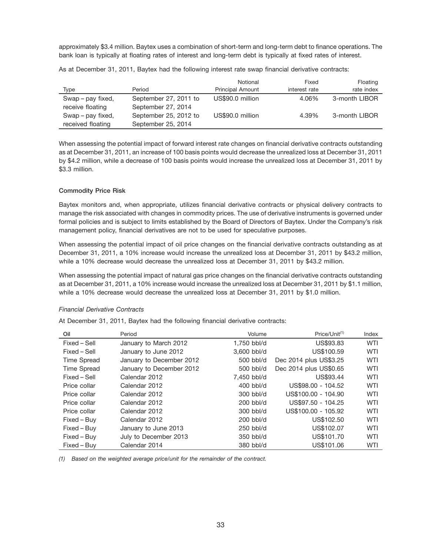approximately \$3.4 million. Baytex uses a combination of short-term and long-term debt to finance operations. The bank loan is typically at floating rates of interest and long-term debt is typically at fixed rates of interest.

| Type              | Period                | Notional<br><b>Principal Amount</b> | Fixed<br>interest rate | Floating<br>rate index |
|-------------------|-----------------------|-------------------------------------|------------------------|------------------------|
| Swap – pay fixed, | September 27, 2011 to | US\$90.0 million                    | 4.06%                  | 3-month LIBOR          |
| receive floating  | September 27, 2014    |                                     |                        |                        |
| Swap – pay fixed, | September 25, 2012 to | US\$90.0 million                    | 4.39%                  | 3-month LIBOR          |
| received floating | September 25, 2014    |                                     |                        |                        |

As at December 31, 2011, Baytex had the following interest rate swap financial derivative contracts:

When assessing the potential impact of forward interest rate changes on financial derivative contracts outstanding as at December 31, 2011, an increase of 100 basis points would decrease the unrealized loss at December 31, 2011 by \$4.2 million, while a decrease of 100 basis points would increase the unrealized loss at December 31, 2011 by \$3.3 million.

#### **Commodity Price Risk**

Baytex monitors and, when appropriate, utilizes financial derivative contracts or physical delivery contracts to manage the risk associated with changes in commodity prices. The use of derivative instruments is governed under formal policies and is subject to limits established by the Board of Directors of Baytex. Under the Company's risk management policy, financial derivatives are not to be used for speculative purposes.

When assessing the potential impact of oil price changes on the financial derivative contracts outstanding as at December 31, 2011, a 10% increase would increase the unrealized loss at December 31, 2011 by \$43.2 million, while a 10% decrease would decrease the unrealized loss at December 31, 2011 by \$43.2 million.

When assessing the potential impact of natural gas price changes on the financial derivative contracts outstanding as at December 31, 2011, a 10% increase would increase the unrealized loss at December 31, 2011 by \$1.1 million, while a 10% decrease would decrease the unrealized loss at December 31, 2011 by \$1.0 million.

## *Financial Derivative Contracts*

At December 31, 2011, Baytex had the following financial derivative contracts:

| Oil                | Period                   | Volume      | Price/Unit <sup>(1)</sup> | Index      |
|--------------------|--------------------------|-------------|---------------------------|------------|
| Fixed – Sell       | January to March 2012    | 1.750 bbl/d | US\$93.83                 | WTI        |
| Fixed – Sell       | January to June 2012     | 3.600 bbl/d | US\$100.59                | WTI        |
| <b>Time Spread</b> | January to December 2012 | 500 bbl/d   | Dec 2014 plus US\$3.25    | <b>WTI</b> |
| <b>Time Spread</b> | January to December 2012 | 500 bbl/d   | Dec 2014 plus US\$0.65    | <b>WTI</b> |
| Fixed – Sell       | Calendar 2012            | 7,450 bbl/d | US\$93.44                 | WTI        |
| Price collar       | Calendar 2012            | $400$ bbl/d | US\$98.00 - 104.52        | WTI        |
| Price collar       | Calendar 2012            | 300 bbl/d   | US\$100.00 - 104.90       | WTI        |
| Price collar       | Calendar 2012            | $200$ bbl/d | US\$97.50 - 104.25        | WTI        |
| Price collar       | Calendar 2012            | 300 bbl/d   | US\$100.00 - 105.92       | WTI        |
| Fixed – Buy        | Calendar 2012            | $200$ bbl/d | US\$102.50                | WTI        |
| Fixed - Buy        | January to June 2013     | $250$ bbl/d | US\$102.07                | WTI        |
| Fixed – Buy        | July to December 2013    | 350 bbl/d   | US\$101.70                | WTI        |
| Fixed - Buy        | Calendar 2014            | 380 bbl/d   | US\$101.06                | WTI        |

*(1) Based on the weighted average price/unit for the remainder of the contract.*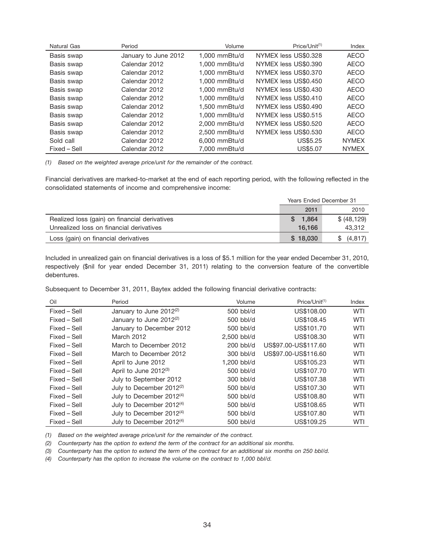| Natural Gas  | Period               | Volume          | $Price/Unit^{(1)}$   | Index        |
|--------------|----------------------|-----------------|----------------------|--------------|
| Basis swap   | January to June 2012 | 1.000 mmBtu/d   | NYMEX less US\$0.328 | <b>AECO</b>  |
| Basis swap   | Calendar 2012        | 1.000 mmBtu/d   | NYMEX less US\$0.390 | <b>AECO</b>  |
| Basis swap   | Calendar 2012        | 1.000 mmBtu/d   | NYMEX less US\$0.370 | <b>AECO</b>  |
| Basis swap   | Calendar 2012        | $1.000$ mmBtu/d | NYMEX less US\$0.450 | <b>AECO</b>  |
| Basis swap   | Calendar 2012        | 1.000 mmBtu/d   | NYMEX less US\$0.430 | <b>AECO</b>  |
| Basis swap   | Calendar 2012        | 1.000 mmBtu/d   | NYMEX less US\$0.410 | <b>AECO</b>  |
| Basis swap   | Calendar 2012        | 1.500 mmBtu/d   | NYMEX less US\$0.490 | <b>AECO</b>  |
| Basis swap   | Calendar 2012        | 1.000 mmBtu/d   | NYMEX less US\$0.515 | <b>AECO</b>  |
| Basis swap   | Calendar 2012        | 2.000 mmBtu/d   | NYMEX less US\$0.520 | <b>AECO</b>  |
| Basis swap   | Calendar 2012        | 2.500 mmBtu/d   | NYMEX less US\$0.530 | <b>AECO</b>  |
| Sold call    | Calendar 2012        | 6,000 mmBtu/d   | US\$5.25             | <b>NYMEX</b> |
| Fixed – Sell | Calendar 2012        | 7.000 mmBtu/d   | US\$5.07             | <b>NYMEX</b> |

*(1) Based on the weighted average price/unit for the remainder of the contract.*

Financial derivatives are marked-to-market at the end of each reporting period, with the following reflected in the consolidated statements of income and comprehensive income:

|                                               | Years Ended December 31 |              |  |
|-----------------------------------------------|-------------------------|--------------|--|
|                                               | 2011                    | 2010         |  |
| Realized loss (gain) on financial derivatives | \$1.864                 | \$ (48, 129) |  |
| Unrealized loss on financial derivatives      | 16.166                  | 43.312       |  |
| Loss (gain) on financial derivatives          | \$18,030                | \$(4,817)    |  |

Included in unrealized gain on financial derivatives is a loss of \$5.1 million for the year ended December 31, 2010, respectively (\$nil for year ended December 31, 2011) relating to the conversion feature of the convertible debentures.

Subsequent to December 31, 2011, Baytex added the following financial derivative contracts:

| Oil          | Period                               | Volume      | Price/Unit <sup>(1)</sup> | Index      |
|--------------|--------------------------------------|-------------|---------------------------|------------|
| Fixed - Sell | January to June 2012 <sup>(2)</sup>  | 500 bbl/d   | US\$108,00                | <b>WTI</b> |
| Fixed - Sell | January to June 2012 <sup>(2)</sup>  | 500 bbl/d   | US\$108.45                | <b>WTI</b> |
| Fixed - Sell | January to December 2012             | 500 bbl/d   | US\$101.70                | <b>WTI</b> |
| Fixed - Sell | March 2012                           | 2.500 bbl/d | US\$108.30                | <b>WTI</b> |
| Fixed - Sell | March to December 2012               | $200$ bbl/d | US\$97.00-US\$117.60      | <b>WTI</b> |
| Fixed - Sell | March to December 2012               | 300 bbl/d   | US\$97.00-US\$116.60      | <b>WTI</b> |
| Fixed - Sell | April to June 2012                   | 1.200 bbl/d | US\$105.23                | <b>WTI</b> |
| Fixed - Sell | April to June 2012(3)                | 500 bbl/d   | US\$107.70                | <b>WTI</b> |
| Fixed – Sell | July to September 2012               | 300 bbl/d   | US\$107.38                | <b>WTI</b> |
| Fixed - Sell | July to December 2012 <sup>(2)</sup> | 500 bbl/d   | US\$107.30                | <b>WTI</b> |
| Fixed - Sell | July to December $2012^{(4)}$        | 500 bbl/d   | US\$108.80                | <b>WTI</b> |
| Fixed – Sell | July to December $2012^{(4)}$        | 500 bbl/d   | US\$108.65                | <b>WTI</b> |
| Fixed - Sell | July to December $2012^{(4)}$        | 500 bbl/d   | US\$107.80                | <b>WTI</b> |
| Fixed - Sell | July to December 2012 <sup>(4)</sup> | 500 bbl/d   | US\$109.25                | WTI        |

*(1) Based on the weighted average price/unit for the remainder of the contract.*

*(2) Counterparty has the option to extend the term of the contract for an additional six months.*

*(3) Counterparty has the option to extend the term of the contract for an additional six months on 250 bbl/d.*

*(4) Counterparty has the option to increase the volume on the contract to 1,000 bbl/d.*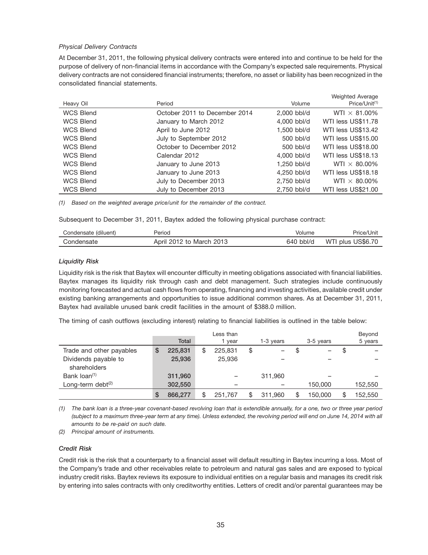#### *Physical Delivery Contracts*

At December 31, 2011, the following physical delivery contracts were entered into and continue to be held for the purpose of delivery of non-financial items in accordance with the Company's expected sale requirements. Physical delivery contracts are not considered financial instruments; therefore, no asset or liability has been recognized in the consolidated financial statements.

|                  |                               |             | <b>Weighted Average</b>   |
|------------------|-------------------------------|-------------|---------------------------|
| Heavy Oil        | Period                        | Volume      | Price/Unit <sup>(1)</sup> |
| <b>WCS Blend</b> | October 2011 to December 2014 | 2,000 bbl/d | WTI $\times$ 81.00%       |
| <b>WCS Blend</b> | January to March 2012         | 4,000 bbl/d | WTI less US\$11.78        |
| <b>WCS Blend</b> | April to June 2012            | 1,500 bbl/d | WTI less US\$13.42        |
| <b>WCS Blend</b> | July to September 2012        | 500 bbl/d   | WTI less US\$15.00        |
| <b>WCS Blend</b> | October to December 2012      | 500 bbl/d   | WTI less US\$18.00        |
| <b>WCS Blend</b> | Calendar 2012                 | 4.000 bbl/d | WTI less US\$18.13        |
| <b>WCS Blend</b> | January to June 2013          | 1.250 bbl/d | WTI $\times$ 80.00%       |
| <b>WCS Blend</b> | January to June 2013          | 4,250 bbl/d | WTI less US\$18.18        |
| <b>WCS Blend</b> | July to December 2013         | 2.750 bbl/d | WTI $\times$ 80.00%       |
| <b>WCS Blend</b> | July to December 2013         | 2.750 bbl/d | WTI less US\$21.00        |
|                  |                               |             |                           |

*(1) Based on the weighted average price/unit for the remainder of the contract.*

Subsequent to December 31, 2011, Baytex added the following physical purchase contract:

| Jondensate<br>(diluent) | Period                   | Volume    | Price/Unit        |
|-------------------------|--------------------------|-----------|-------------------|
| Condensate∴             | April 2012 to March 2013 | 640 bbl/d | WTI plus US\$6.70 |

#### *Liquidity Risk*

Liquidity risk is the risk that Baytex will encounter difficulty in meeting obligations associated with financial liabilities. Baytex manages its liquidity risk through cash and debt management. Such strategies include continuously monitoring forecasted and actual cash flows from operating, financing and investing activities, available credit under existing banking arrangements and opportunities to issue additional common shares. As at December 31, 2011, Baytex had available unused bank credit facilities in the amount of \$388.0 million.

The timing of cash outflows (excluding interest) relating to financial liabilities is outlined in the table below:

|                                      |    |              | Less than |               |                          |    | Beyond  |
|--------------------------------------|----|--------------|-----------|---------------|--------------------------|----|---------|
|                                      |    | <b>Total</b> | vear      | 1-3 years     | 3-5 years                |    | 5 years |
| Trade and other payables             | \$ | 225,831      | 225,831   | \$            | $\overline{\phantom{0}}$ | จ  |         |
| Dividends payable to<br>shareholders |    | 25,936       | 25,936    |               |                          |    |         |
| Bank loan <sup>(1)</sup>             |    | 311,960      |           | 311,960       |                          |    |         |
| Long-term debt $(2)$                 |    | 302,550      |           |               | 150,000                  |    | 152,550 |
|                                      | S  | 866.277      | 251.767   | \$<br>311.960 | 150,000                  | \$ | 152.550 |

*(1) The bank loan is a three-year covenant-based revolving loan that is extendible annually, for a one, two or three year period (subject to a maximum three-year term at any time). Unless extended, the revolving period will end on June 14, 2014 with all amounts to be re-paid on such date.*

*(2) Principal amount of instruments.*

#### *Credit Risk*

Credit risk is the risk that a counterparty to a financial asset will default resulting in Baytex incurring a loss. Most of the Company's trade and other receivables relate to petroleum and natural gas sales and are exposed to typical industry credit risks. Baytex reviews its exposure to individual entities on a regular basis and manages its credit risk by entering into sales contracts with only creditworthy entities. Letters of credit and/or parental guarantees may be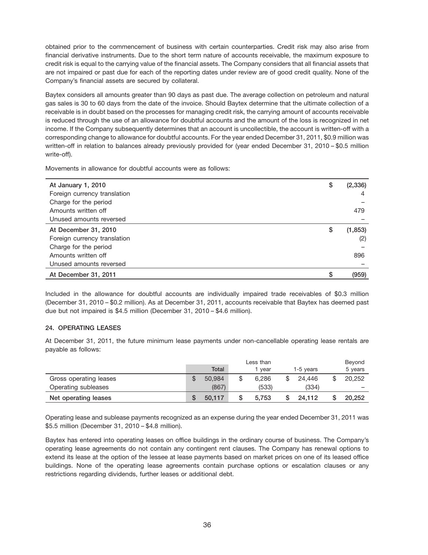obtained prior to the commencement of business with certain counterparties. Credit risk may also arise from financial derivative instruments. Due to the short term nature of accounts receivable, the maximum exposure to credit risk is equal to the carrying value of the financial assets. The Company considers that all financial assets that are not impaired or past due for each of the reporting dates under review are of good credit quality. None of the Company's financial assets are secured by collateral.

Baytex considers all amounts greater than 90 days as past due. The average collection on petroleum and natural gas sales is 30 to 60 days from the date of the invoice. Should Baytex determine that the ultimate collection of a receivable is in doubt based on the processes for managing credit risk, the carrying amount of accounts receivable is reduced through the use of an allowance for doubtful accounts and the amount of the loss is recognized in net income. If the Company subsequently determines that an account is uncollectible, the account is written-off with a corresponding change to allowance for doubtful accounts. For the year ended December 31, 2011, \$0.9 million was written-off in relation to balances already previously provided for (year ended December 31, 2010 – \$0.5 million write-off).

Movements in allowance for doubtful accounts were as follows:

| At January 1, 2010           | \$ | (2, 336) |
|------------------------------|----|----------|
| Foreign currency translation |    | 4        |
| Charge for the period        |    |          |
| Amounts written off          |    | 479      |
| Unused amounts reversed      |    |          |
| At December 31, 2010         | S  | (1,853)  |
| Foreign currency translation |    | (2)      |
| Charge for the period        |    |          |
| Amounts written off          |    | 896      |
| Unused amounts reversed      |    |          |
| At December 31, 2011         | \$ | (959)    |

Included in the allowance for doubtful accounts are individually impaired trade receivables of \$0.3 million (December 31, 2010 – \$0.2 million). As at December 31, 2011, accounts receivable that Baytex has deemed past due but not impaired is \$4.5 million (December 31, 2010 – \$4.6 million).

#### **24. OPERATING LEASES**

At December 31, 2011, the future minimum lease payments under non-cancellable operating lease rentals are payable as follows:

|                        | Less than |              |  |       |  |           |  | Beyond  |
|------------------------|-----------|--------------|--|-------|--|-----------|--|---------|
|                        |           | <b>Total</b> |  | vear  |  | 1-5 years |  | 5 years |
| Gross operating leases |           | 50,984       |  | 6.286 |  | 24.446    |  | 20.252  |
| Operating subleases    |           | (867)        |  | (533) |  | (334)     |  | -       |
| Net operating leases   |           | 50.117       |  | 5.753 |  | 24.112    |  | 20.252  |

Operating lease and sublease payments recognized as an expense during the year ended December 31, 2011 was \$5.5 million (December 31, 2010 – \$4.8 million).

Baytex has entered into operating leases on office buildings in the ordinary course of business. The Company's operating lease agreements do not contain any contingent rent clauses. The Company has renewal options to extend its lease at the option of the lessee at lease payments based on market prices on one of its leased office buildings. None of the operating lease agreements contain purchase options or escalation clauses or any restrictions regarding dividends, further leases or additional debt.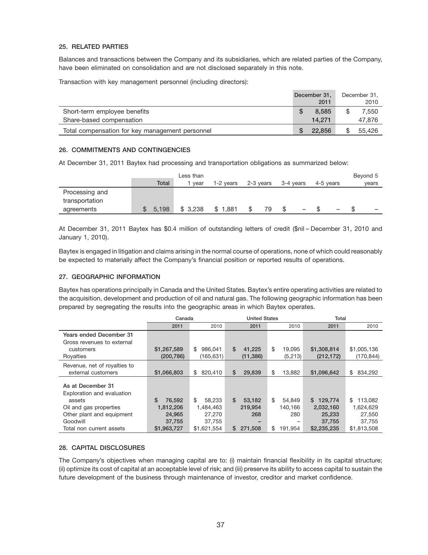#### **25. RELATED PARTIES**

Balances and transactions between the Company and its subsidiaries, which are related parties of the Company, have been eliminated on consolidation and are not disclosed separately in this note.

Transaction with key management personnel (including directors):

|                                                 | December 31, | December 31, |
|-------------------------------------------------|--------------|--------------|
|                                                 | 2011         | 2010         |
| Short-term employee benefits                    | 8.585        | 7.550        |
| Share-based compensation                        | 14.271       | 47.876       |
| Total compensation for key management personnel | 22,856       | 55.426       |

#### **26. COMMITMENTS AND CONTINGENCIES**

At December 31, 2011 Baytex had processing and transportation obligations as summarized below:

|                |              | Less than |             |           |           |                          |                          | Beyond 5                 |
|----------------|--------------|-----------|-------------|-----------|-----------|--------------------------|--------------------------|--------------------------|
|                | <b>Total</b> | vear      | 1-2 vears   | 2-3 years | 3-4 years |                          | 4-5 years                | vears                    |
| Processing and |              |           |             |           |           |                          |                          |                          |
| transportation |              |           |             |           |           |                          |                          |                          |
| agreements     | 5.198        | \$3,238   | \$<br>1.881 | \$<br>79  |           | $\overline{\phantom{m}}$ | $\overline{\phantom{m}}$ | $\overline{\phantom{0}}$ |

At December 31, 2011 Baytex has \$0.4 million of outstanding letters of credit (\$nil – December 31, 2010 and January 1, 2010).

Baytex is engaged in litigation and claims arising in the normal course of operations, none of which could reasonably be expected to materially affect the Company's financial position or reported results of operations.

#### **27. GEOGRAPHIC INFORMATION**

Baytex has operations principally in Canada and the United States. Baytex's entire operating activities are related to the acquisition, development and production of oil and natural gas. The following geographic information has been prepared by segregating the results into the geographic areas in which Baytex operates.

|                                                       | Canada       |               | <b>United States</b>   |               | Total         |               |  |
|-------------------------------------------------------|--------------|---------------|------------------------|---------------|---------------|---------------|--|
|                                                       | 2011         | 2010          | 2011                   | 2010          | 2011          | 2010          |  |
| Years ended December 31<br>Gross revenues to external |              |               |                        |               |               |               |  |
| customers                                             | \$1,267,589  | \$<br>986.041 | \$<br>41.225           | \$<br>19.095  | \$1,308,814   | \$1,005,136   |  |
| Royalties                                             | (200, 786)   | (165, 631)    | (11, 386)              | (5,213)       | (212, 172)    | (170, 844)    |  |
| Revenue, net of royalties to<br>external customers    | \$1,066,803  | \$<br>820,410 | \$<br>29,839           | \$<br>13.882  | \$1,096,642   | \$<br>834,292 |  |
| As at December 31<br>Exploration and evaluation       |              |               |                        |               |               |               |  |
| assets                                                | \$<br>76,592 | \$<br>58.233  | $\mathbf{s}$<br>53.182 | \$<br>54.849  | 129,774<br>S. | \$<br>113,082 |  |
| Oil and gas properties                                | 1,812,206    | 1,484,463     | 219.954                | 140.166       | 2,032,160     | 1,624,629     |  |
| Other plant and equipment                             | 24,965       | 27,270        | 268                    | 280           | 25,233        | 27,550        |  |
| Goodwill                                              | 37.755       | 37.755        | -                      |               | 37.755        | 37.755        |  |
| Total non current assets                              | \$1,963,727  | \$1.621.554   | 271.508<br>S.          | \$<br>191.954 | \$2,235,235   | \$1,813,508   |  |

#### **28. CAPITAL DISCLOSURES**

The Company's objectives when managing capital are to: (i) maintain financial flexibility in its capital structure; (ii) optimize its cost of capital at an acceptable level of risk; and (iii) preserve its ability to access capital to sustain the future development of the business through maintenance of investor, creditor and market confidence.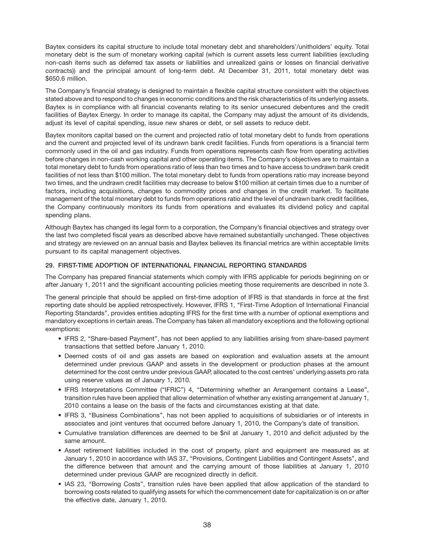Baytex considers its capital structure to include total monetary debt and shareholders'/unitholders' equity. Total monetary debt is the sum of monetary working capital (which is current assets less current liabilities (excluding non-cash items such as deferred tax assets or liabilities and unrealized gains or losses on financial derivative contracts)) and the principal amount of long-term debt. At December 31, 2011, total monetary debt was \$650.6 million.

The Company's financial strategy is designed to maintain a flexible capital structure consistent with the objectives stated above and to respond to changes in economic conditions and the risk characteristics of its underlying assets. Baytex is in compliance with all financial covenants relating to its senior unsecured debentures and the credit facilities of Baytex Energy. In order to manage its capital, the Company may adjust the amount of its dividends, adjust its level of capital spending, issue new shares or debt, or sell assets to reduce debt.

Baytex monitors capital based on the current and projected ratio of total monetary debt to funds from operations and the current and projected level of its undrawn bank credit facilities. Funds from operations is a financial term commonly used in the oil and gas industry. Funds from operations represents cash flow from operating activities before changes in non-cash working capital and other operating items. The Company's objectives are to maintain a total monetary debt to funds from operations ratio of less than two times and to have access to undrawn bank credit facilities of not less than \$100 million. The total monetary debt to funds from operations ratio may increase beyond two times, and the undrawn credit facilities may decrease to below \$100 million at certain times due to a number of factors, including acquisitions, changes to commodity prices and changes in the credit market. To facilitate management of the total monetary debt to funds from operations ratio and the level of undrawn bank credit facilities, the Company continuously monitors its funds from operations and evaluates its dividend policy and capital spending plans.

Although Baytex has changed its legal form to a corporation, the Company's financial objectives and strategy over the last two completed fiscal years as described above have remained substantially unchanged. These objectives and strategy are reviewed on an annual basis and Baytex believes its financial metrics are within acceptable limits pursuant to its capital management objectives.

#### **29. FIRST-TIME ADOPTION OF INTERNATIONAL FINANCIAL REPORTING STANDARDS**

The Company has prepared financial statements which comply with IFRS applicable for periods beginning on or after January 1, 2011 and the significant accounting policies meeting those requirements are described in note 3.

The general principle that should be applied on first-time adoption of IFRS is that standards in force at the first reporting date should be applied retrospectively. However, IFRS 1, ''First-Time Adoption of International Financial Reporting Standards'', provides entities adopting IFRS for the first time with a number of optional exemptions and mandatory exceptions in certain areas. The Company has taken all mandatory exceptions and the following optional exemptions:

- IFRS 2, ''Share-based Payment'', has not been applied to any liabilities arising from share-based payment transactions that settled before January 1, 2010.
- Deemed costs of oil and gas assets are based on exploration and evaluation assets at the amount determined under previous GAAP and assets in the development or production phases at the amount determined for the cost centre under previous GAAP, allocated to the cost centres' underlying assets pro rata using reserve values as of January 1, 2010.
- IFRS Interpretations Committee (''IFRIC'') 4, ''Determining whether an Arrangement contains a Lease'', transition rules have been applied that allow determination of whether any existing arrangement at January 1, 2010 contains a lease on the basis of the facts and circumstances existing at that date.
- IFRS 3, ''Business Combinations'', has not been applied to acquisitions of subsidiaries or of interests in associates and joint ventures that occurred before January 1, 2010, the Company's date of transition.
- Cumulative translation differences are deemed to be \$nil at January 1, 2010 and deficit adjusted by the same amount.
- Asset retirement liabilities included in the cost of property, plant and equipment are measured as at January 1, 2010 in accordance with IAS 37, ''Provisions, Contingent Liabilities and Contingent Assets'', and the difference between that amount and the carrying amount of those liabilities at January 1, 2010 determined under previous GAAP are recognized directly in deficit.
- IAS 23, ''Borrowing Costs'', transition rules have been applied that allow application of the standard to borrowing costs related to qualifying assets for which the commencement date for capitalization is on or after the effective date, January 1, 2010.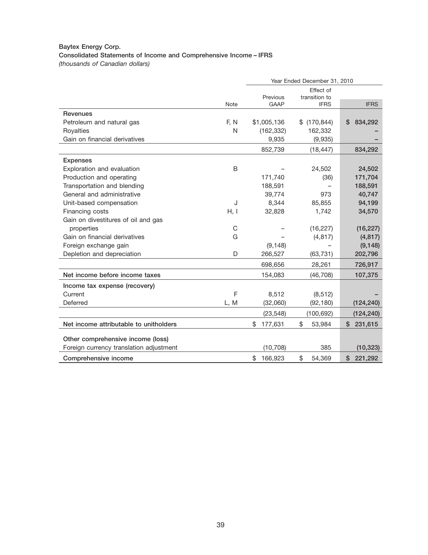# **Baytex Energy Corp. Consolidated Statements of Income and Comprehensive Income – IFRS**

*(thousands of Canadian dollars)*

|                                         |      |               | Year Ended December 31, 2010 |               |
|-----------------------------------------|------|---------------|------------------------------|---------------|
|                                         |      |               | Effect of                    |               |
|                                         |      | Previous      | transition to                |               |
|                                         | Note | <b>GAAP</b>   | <b>IFRS</b>                  | <b>IFRS</b>   |
| <b>Revenues</b>                         |      |               |                              |               |
| Petroleum and natural gas               | F, N | \$1,005,136   | \$(170, 844)                 | \$<br>834,292 |
| Royalties                               | N    | (162, 332)    | 162,332                      |               |
| Gain on financial derivatives           |      | 9,935         | (9,935)                      |               |
|                                         |      | 852,739       | (18, 447)                    | 834,292       |
| <b>Expenses</b>                         |      |               |                              |               |
| Exploration and evaluation              | B    |               | 24,502                       | 24,502        |
| Production and operating                |      | 171,740       | (36)                         | 171,704       |
| Transportation and blending             |      | 188,591       |                              | 188,591       |
| General and administrative              |      | 39,774        | 973                          | 40,747        |
| Unit-based compensation                 | J    | 8,344         | 85,855                       | 94,199        |
| Financing costs                         | H, I | 32,828        | 1,742                        | 34,570        |
| Gain on divestitures of oil and gas     |      |               |                              |               |
| properties                              | C    |               | (16, 227)                    | (16, 227)     |
| Gain on financial derivatives           | G    |               | (4, 817)                     | (4, 817)      |
| Foreign exchange gain                   |      | (9, 148)      |                              | (9, 148)      |
| Depletion and depreciation              | D    | 266,527       | (63, 731)                    | 202,796       |
|                                         |      | 698,656       | 28,261                       | 726,917       |
| Net income before income taxes          |      | 154,083       | (46, 708)                    | 107,375       |
| Income tax expense (recovery)           |      |               |                              |               |
| Current                                 | F    | 8,512         | (8, 512)                     |               |
| Deferred                                | L, M | (32,060)      | (92, 180)                    | (124, 240)    |
|                                         |      | (23, 548)     | (100, 692)                   | (124, 240)    |
| Net income attributable to unitholders  |      | \$<br>177,631 | \$<br>53,984                 | \$<br>231,615 |
|                                         |      |               |                              |               |
| Other comprehensive income (loss)       |      |               | 385                          |               |
| Foreign currency translation adjustment |      | (10, 708)     |                              | (10, 323)     |
| Comprehensive income                    |      | \$<br>166,923 | \$<br>54,369                 | \$<br>221,292 |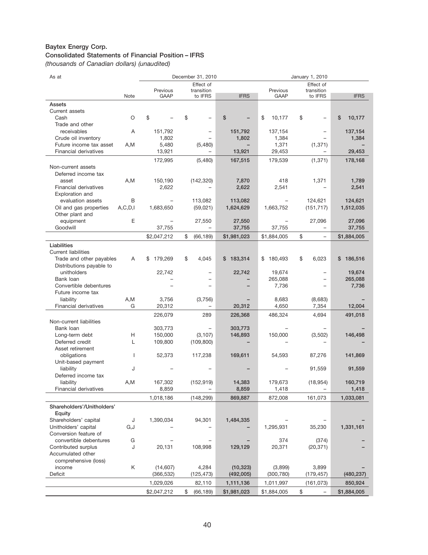## **Baytex Energy Corp. Consolidated Statements of Financial Position – IFRS** *(thousands of Canadian dollars) (unaudited)*

| As at                                       |                 | December 31, 2010<br>January 1, 2010 |                       |                      |                         |                                |                      |  |  |  |
|---------------------------------------------|-----------------|--------------------------------------|-----------------------|----------------------|-------------------------|--------------------------------|----------------------|--|--|--|
|                                             |                 |                                      | Effect of             |                      |                         | Effect of                      |                      |  |  |  |
|                                             |                 | Previous                             | transition<br>to IFRS | <b>IFRS</b>          | Previous<br><b>GAAP</b> | transition                     | <b>IFRS</b>          |  |  |  |
|                                             | Note            | <b>GAAP</b>                          |                       |                      |                         | to IFRS                        |                      |  |  |  |
| Assets<br>Current assets                    |                 |                                      |                       |                      |                         |                                |                      |  |  |  |
| Cash                                        | O               | \$                                   | \$                    | \$                   | \$<br>10,177            | \$                             | \$<br>10,177         |  |  |  |
| Trade and other                             |                 |                                      |                       |                      |                         |                                |                      |  |  |  |
| receivables                                 | Α               | 151,792                              |                       | 151,792              | 137,154                 |                                | 137,154              |  |  |  |
| Crude oil inventory                         |                 | 1,802                                |                       | 1,802                | 1,384                   |                                | 1,384                |  |  |  |
| Future income tax asset                     | A,M             | 5,480                                | (5,480)               |                      | 1,371                   | (1, 371)                       |                      |  |  |  |
| <b>Financial derivatives</b>                |                 | 13,921                               |                       | 13,921               | 29,453                  |                                | 29,453               |  |  |  |
|                                             |                 | 172,995                              | (5,480)               | 167,515              | 179,539                 | (1, 371)                       | 178,168              |  |  |  |
| Non-current assets                          |                 |                                      |                       |                      |                         |                                |                      |  |  |  |
| Deferred income tax                         |                 |                                      |                       |                      |                         |                                |                      |  |  |  |
| asset                                       | A,M             | 150,190                              | (142, 320)            | 7,870                | 418                     | 1,371                          | 1,789                |  |  |  |
| Financial derivatives                       |                 | 2,622                                |                       | 2,622                | 2,541                   |                                | 2,541                |  |  |  |
| Exploration and                             |                 |                                      |                       |                      |                         |                                |                      |  |  |  |
| evaluation assets<br>Oil and gas properties | В<br>A, C, D, I | 1,683,650                            | 113,082<br>(59, 021)  | 113,082<br>1,624,629 | 1,663,752               | 124,621<br>(151, 717)          | 124,621<br>1,512,035 |  |  |  |
| Other plant and                             |                 |                                      |                       |                      |                         |                                |                      |  |  |  |
| equipment                                   | Ε               |                                      | 27,550                | 27,550               |                         | 27,096                         | 27,096               |  |  |  |
| Goodwill                                    |                 | 37,755                               |                       | 37,755               | 37,755                  | -                              | 37,755               |  |  |  |
|                                             |                 | \$2,047,212                          | \$<br>(66, 189)       | \$1,981,023          | \$1,884,005             | \$<br>$\overline{\phantom{0}}$ | \$1,884,005          |  |  |  |
| Liabilities                                 |                 |                                      |                       |                      |                         |                                |                      |  |  |  |
| <b>Current liabilities</b>                  |                 |                                      |                       |                      |                         |                                |                      |  |  |  |
| Trade and other payables                    | Α               | 179.269<br>\$                        | \$<br>4,045           | \$183,314            | 180,493<br>\$           | \$<br>6,023                    | 186,516<br>\$        |  |  |  |
| Distributions payable to                    |                 |                                      |                       |                      |                         |                                |                      |  |  |  |
| unitholders                                 |                 | 22,742                               |                       | 22,742               | 19,674                  | $\overline{\phantom{0}}$       | 19,674               |  |  |  |
| Bank loan                                   |                 |                                      |                       |                      | 265,088                 | $\overline{\phantom{0}}$       | 265,088              |  |  |  |
| Convertible debentures                      |                 |                                      |                       |                      | 7,736                   |                                | 7,736                |  |  |  |
| Future income tax                           |                 |                                      |                       |                      |                         |                                |                      |  |  |  |
| liability                                   | A,M<br>G        | 3,756                                | (3,756)               |                      | 8,683                   | (8,683)                        |                      |  |  |  |
| Financial derivatives                       |                 | 20,312                               |                       | 20,312               | 4,650                   | 7,354                          | 12,004               |  |  |  |
|                                             |                 | 226,079                              | 289                   | 226,368              | 486,324                 | 4,694                          | 491,018              |  |  |  |
| Non-current liabilities<br>Bank loan        |                 | 303,773                              |                       | 303,773              |                         |                                |                      |  |  |  |
| Long-term debt                              | Н               | 150,000                              | (3, 107)              | 146,893              | 150,000                 | (3,502)                        | 146,498              |  |  |  |
| Deferred credit                             | L               | 109,800                              | (109, 800)            |                      |                         |                                |                      |  |  |  |
| Asset retirement                            |                 |                                      |                       |                      |                         |                                |                      |  |  |  |
| obligations                                 | T               | 52,373                               | 117,238               | 169,611              | 54,593                  | 87,276                         | 141,869              |  |  |  |
| Unit-based payment                          |                 |                                      |                       |                      |                         |                                |                      |  |  |  |
| liability                                   | J               |                                      |                       |                      |                         | 91,559                         | 91,559               |  |  |  |
| Deferred income tax                         |                 |                                      |                       |                      |                         |                                |                      |  |  |  |
| liability                                   | A,M             | 167,302                              | (152, 919)            | 14,383               | 179,673                 | (18, 954)                      | 160,719              |  |  |  |
| <b>Financial derivatives</b>                |                 | 8,859                                |                       | 8,859                | 1,418                   |                                | 1,418                |  |  |  |
|                                             |                 | 1,018,186                            | (148, 299)            | 869,887              | 872,008                 | 161,073                        | 1,033,081            |  |  |  |
| Shareholders'/Unitholders'                  |                 |                                      |                       |                      |                         |                                |                      |  |  |  |
| Equity<br>Shareholders' capital             | J               | 1,390,034                            | 94,301                | 1,484,335            |                         |                                |                      |  |  |  |
| Unitholders' capital                        | G,J             |                                      |                       |                      | 1,295,931               | 35,230                         | 1,331,161            |  |  |  |
| Conversion feature of                       |                 |                                      |                       |                      |                         |                                |                      |  |  |  |
| convertible debentures                      | G               |                                      |                       |                      | 374                     | (374)                          |                      |  |  |  |
| Contributed surplus                         | J               | 20,131                               | 108,998               | 129,129              | 20,371                  | (20, 371)                      |                      |  |  |  |
| Accumulated other                           |                 |                                      |                       |                      |                         |                                |                      |  |  |  |
| comprehensive (loss)                        |                 |                                      |                       |                      |                         |                                |                      |  |  |  |
| income                                      | Κ               | (14, 607)                            | 4,284                 | (10, 323)            | (3,899)                 | 3,899                          |                      |  |  |  |
| Deficit                                     |                 | (366, 532)                           | (125, 473)            | (492,005)            | (300, 780)              | (179, 457)                     | (480, 237)           |  |  |  |
|                                             |                 | 1,029,026                            | 82,110                | 1,111,136            | 1,011,997               | (161, 073)                     | 850,924              |  |  |  |
|                                             |                 | \$2,047,212                          | \$<br>(66, 189)       | \$1,981,023          | \$1,884,005             | \$                             | \$1,884,005          |  |  |  |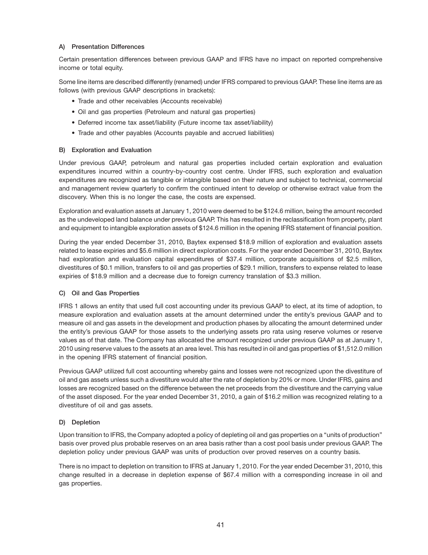#### **A) Presentation Differences**

Certain presentation differences between previous GAAP and IFRS have no impact on reported comprehensive income or total equity.

Some line items are described differently (renamed) under IFRS compared to previous GAAP. These line items are as follows (with previous GAAP descriptions in brackets):

- Trade and other receivables (Accounts receivable)
- Oil and gas properties (Petroleum and natural gas properties)
- Deferred income tax asset/liability (Future income tax asset/liability)
- Trade and other payables (Accounts payable and accrued liabilities)

#### **B) Exploration and Evaluation**

Under previous GAAP, petroleum and natural gas properties included certain exploration and evaluation expenditures incurred within a country-by-country cost centre. Under IFRS, such exploration and evaluation expenditures are recognized as tangible or intangible based on their nature and subject to technical, commercial and management review quarterly to confirm the continued intent to develop or otherwise extract value from the discovery. When this is no longer the case, the costs are expensed.

Exploration and evaluation assets at January 1, 2010 were deemed to be \$124.6 million, being the amount recorded as the undeveloped land balance under previous GAAP. This has resulted in the reclassification from property, plant and equipment to intangible exploration assets of \$124.6 million in the opening IFRS statement of financial position.

During the year ended December 31, 2010, Baytex expensed \$18.9 million of exploration and evaluation assets related to lease expiries and \$5.6 million in direct exploration costs. For the year ended December 31, 2010, Baytex had exploration and evaluation capital expenditures of \$37.4 million, corporate acquisitions of \$2.5 million, divestitures of \$0.1 million, transfers to oil and gas properties of \$29.1 million, transfers to expense related to lease expiries of \$18.9 million and a decrease due to foreign currency translation of \$3.3 million.

#### **C) Oil and Gas Properties**

IFRS 1 allows an entity that used full cost accounting under its previous GAAP to elect, at its time of adoption, to measure exploration and evaluation assets at the amount determined under the entity's previous GAAP and to measure oil and gas assets in the development and production phases by allocating the amount determined under the entity's previous GAAP for those assets to the underlying assets pro rata using reserve volumes or reserve values as of that date. The Company has allocated the amount recognized under previous GAAP as at January 1, 2010 using reserve values to the assets at an area level. This has resulted in oil and gas properties of \$1,512.0 million in the opening IFRS statement of financial position.

Previous GAAP utilized full cost accounting whereby gains and losses were not recognized upon the divestiture of oil and gas assets unless such a divestiture would alter the rate of depletion by 20% or more. Under IFRS, gains and losses are recognized based on the difference between the net proceeds from the divestiture and the carrying value of the asset disposed. For the year ended December 31, 2010, a gain of \$16.2 million was recognized relating to a divestiture of oil and gas assets.

## **D) Depletion**

Upon transition to IFRS, the Company adopted a policy of depleting oil and gas properties on a ''units of production'' basis over proved plus probable reserves on an area basis rather than a cost pool basis under previous GAAP. The depletion policy under previous GAAP was units of production over proved reserves on a country basis.

There is no impact to depletion on transition to IFRS at January 1, 2010. For the year ended December 31, 2010, this change resulted in a decrease in depletion expense of \$67.4 million with a corresponding increase in oil and gas properties.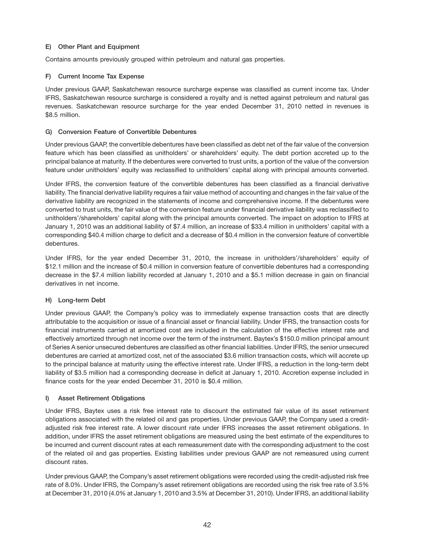## **E) Other Plant and Equipment**

Contains amounts previously grouped within petroleum and natural gas properties.

## **F) Current Income Tax Expense**

Under previous GAAP, Saskatchewan resource surcharge expense was classified as current income tax. Under IFRS, Saskatchewan resource surcharge is considered a royalty and is netted against petroleum and natural gas revenues. Saskatchewan resource surcharge for the year ended December 31, 2010 netted in revenues is \$8.5 million.

## **G) Conversion Feature of Convertible Debentures**

Under previous GAAP, the convertible debentures have been classified as debt net of the fair value of the conversion feature which has been classified as unitholders' or shareholders' equity. The debt portion accreted up to the principal balance at maturity. If the debentures were converted to trust units, a portion of the value of the conversion feature under unitholders' equity was reclassified to unitholders' capital along with principal amounts converted.

Under IFRS, the conversion feature of the convertible debentures has been classified as a financial derivative liability. The financial derivative liability requires a fair value method of accounting and changes in the fair value of the derivative liability are recognized in the statements of income and comprehensive income. If the debentures were converted to trust units, the fair value of the conversion feature under financial derivative liability was reclassified to unitholders'/shareholders' capital along with the principal amounts converted. The impact on adoption to IFRS at January 1, 2010 was an additional liability of \$7.4 million, an increase of \$33.4 million in unitholders' capital with a corresponding \$40.4 million charge to deficit and a decrease of \$0.4 million in the conversion feature of convertible debentures.

Under IFRS, for the year ended December 31, 2010, the increase in unitholders'/shareholders' equity of \$12.1 million and the increase of \$0.4 million in conversion feature of convertible debentures had a corresponding decrease in the \$7.4 million liability recorded at January 1, 2010 and a \$5.1 million decrease in gain on financial derivatives in net income.

## **H) Long-term Debt**

Under previous GAAP, the Company's policy was to immediately expense transaction costs that are directly attributable to the acquisition or issue of a financial asset or financial liability. Under IFRS, the transaction costs for financial instruments carried at amortized cost are included in the calculation of the effective interest rate and effectively amortized through net income over the term of the instrument. Baytex's \$150.0 million principal amount of Series A senior unsecured debentures are classified as other financial liabilities. Under IFRS, the senior unsecured debentures are carried at amortized cost, net of the associated \$3.6 million transaction costs, which will accrete up to the principal balance at maturity using the effective interest rate. Under IFRS, a reduction in the long-term debt liability of \$3.5 million had a corresponding decrease in deficit at January 1, 2010. Accretion expense included in finance costs for the year ended December 31, 2010 is \$0.4 million.

## **I) Asset Retirement Obligations**

Under IFRS, Baytex uses a risk free interest rate to discount the estimated fair value of its asset retirement obligations associated with the related oil and gas properties. Under previous GAAP, the Company used a creditadjusted risk free interest rate. A lower discount rate under IFRS increases the asset retirement obligations. In addition, under IFRS the asset retirement obligations are measured using the best estimate of the expenditures to be incurred and current discount rates at each remeasurement date with the corresponding adjustment to the cost of the related oil and gas properties. Existing liabilities under previous GAAP are not remeasured using current discount rates.

Under previous GAAP, the Company's asset retirement obligations were recorded using the credit-adjusted risk free rate of 8.0%. Under IFRS, the Company's asset retirement obligations are recorded using the risk free rate of 3.5% at December 31, 2010 (4.0% at January 1, 2010 and 3.5% at December 31, 2010). Under IFRS, an additional liability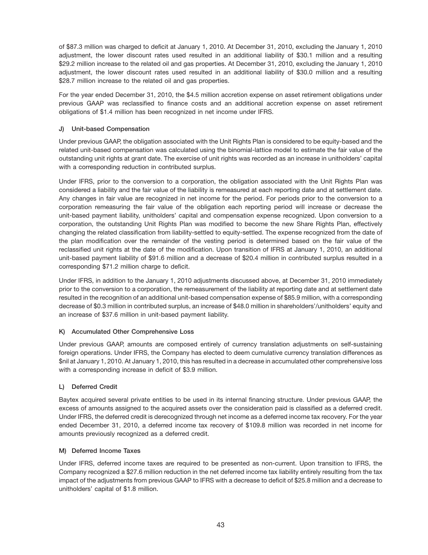of \$87.3 million was charged to deficit at January 1, 2010. At December 31, 2010, excluding the January 1, 2010 adjustment, the lower discount rates used resulted in an additional liability of \$30.1 million and a resulting \$29.2 million increase to the related oil and gas properties. At December 31, 2010, excluding the January 1, 2010 adjustment, the lower discount rates used resulted in an additional liability of \$30.0 million and a resulting \$28.7 million increase to the related oil and gas properties.

For the year ended December 31, 2010, the \$4.5 million accretion expense on asset retirement obligations under previous GAAP was reclassified to finance costs and an additional accretion expense on asset retirement obligations of \$1.4 million has been recognized in net income under IFRS.

## **J) Unit-based Compensation**

Under previous GAAP, the obligation associated with the Unit Rights Plan is considered to be equity-based and the related unit-based compensation was calculated using the binomial-lattice model to estimate the fair value of the outstanding unit rights at grant date. The exercise of unit rights was recorded as an increase in unitholders' capital with a corresponding reduction in contributed surplus.

Under IFRS, prior to the conversion to a corporation, the obligation associated with the Unit Rights Plan was considered a liability and the fair value of the liability is remeasured at each reporting date and at settlement date. Any changes in fair value are recognized in net income for the period. For periods prior to the conversion to a corporation remeasuring the fair value of the obligation each reporting period will increase or decrease the unit-based payment liability, unitholders' capital and compensation expense recognized. Upon conversion to a corporation, the outstanding Unit Rights Plan was modified to become the new Share Rights Plan, effectively changing the related classification from liability-settled to equity-settled. The expense recognized from the date of the plan modification over the remainder of the vesting period is determined based on the fair value of the reclassified unit rights at the date of the modification. Upon transition of IFRS at January 1, 2010, an additional unit-based payment liability of \$91.6 million and a decrease of \$20.4 million in contributed surplus resulted in a corresponding \$71.2 million charge to deficit.

Under IFRS, in addition to the January 1, 2010 adjustments discussed above, at December 31, 2010 immediately prior to the conversion to a corporation, the remeasurement of the liability at reporting date and at settlement date resulted in the recognition of an additional unit-based compensation expense of \$85.9 million, with a corresponding decrease of \$0.3 million in contributed surplus, an increase of \$48.0 million in shareholders'/unitholders' equity and an increase of \$37.6 million in unit-based payment liability.

## **K) Accumulated Other Comprehensive Loss**

Under previous GAAP, amounts are composed entirely of currency translation adjustments on self-sustaining foreign operations. Under IFRS, the Company has elected to deem cumulative currency translation differences as \$nil at January 1, 2010. At January 1, 2010, this has resulted in a decrease in accumulated other comprehensive loss with a corresponding increase in deficit of \$3.9 million.

# **L) Deferred Credit**

Baytex acquired several private entities to be used in its internal financing structure. Under previous GAAP, the excess of amounts assigned to the acquired assets over the consideration paid is classified as a deferred credit. Under IFRS, the deferred credit is derecognized through net income as a deferred income tax recovery. For the year ended December 31, 2010, a deferred income tax recovery of \$109.8 million was recorded in net income for amounts previously recognized as a deferred credit.

## **M) Deferred Income Taxes**

Under IFRS, deferred income taxes are required to be presented as non-current. Upon transition to IFRS, the Company recognized a \$27.6 million reduction in the net deferred income tax liability entirely resulting from the tax impact of the adjustments from previous GAAP to IFRS with a decrease to deficit of \$25.8 million and a decrease to unitholders' capital of \$1.8 million.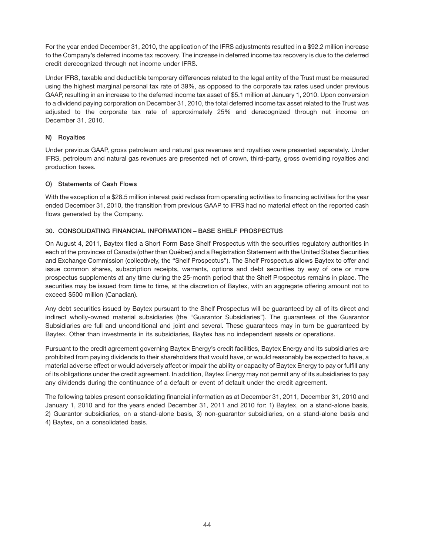For the year ended December 31, 2010, the application of the IFRS adjustments resulted in a \$92.2 million increase to the Company's deferred income tax recovery. The increase in deferred income tax recovery is due to the deferred credit derecognized through net income under IFRS.

Under IFRS, taxable and deductible temporary differences related to the legal entity of the Trust must be measured using the highest marginal personal tax rate of 39%, as opposed to the corporate tax rates used under previous GAAP, resulting in an increase to the deferred income tax asset of \$5.1 million at January 1, 2010. Upon conversion to a dividend paying corporation on December 31, 2010, the total deferred income tax asset related to the Trust was adjusted to the corporate tax rate of approximately 25% and derecognized through net income on December 31, 2010.

## **N) Royalties**

Under previous GAAP, gross petroleum and natural gas revenues and royalties were presented separately. Under IFRS, petroleum and natural gas revenues are presented net of crown, third-party, gross overriding royalties and production taxes.

## **O) Statements of Cash Flows**

With the exception of a \$28.5 million interest paid reclass from operating activities to financing activities for the year ended December 31, 2010, the transition from previous GAAP to IFRS had no material effect on the reported cash flows generated by the Company.

## **30. CONSOLIDATING FINANCIAL INFORMATION – BASE SHELF PROSPECTUS**

On August 4, 2011, Baytex filed a Short Form Base Shelf Prospectus with the securities regulatory authorities in each of the provinces of Canada (other than Québec) and a Registration Statement with the United States Securities and Exchange Commission (collectively, the ''Shelf Prospectus''). The Shelf Prospectus allows Baytex to offer and issue common shares, subscription receipts, warrants, options and debt securities by way of one or more prospectus supplements at any time during the 25-month period that the Shelf Prospectus remains in place. The securities may be issued from time to time, at the discretion of Baytex, with an aggregate offering amount not to exceed \$500 million (Canadian).

Any debt securities issued by Baytex pursuant to the Shelf Prospectus will be guaranteed by all of its direct and indirect wholly-owned material subsidiaries (the ''Guarantor Subsidiaries''). The guarantees of the Guarantor Subsidiaries are full and unconditional and joint and several. These guarantees may in turn be guaranteed by Baytex. Other than investments in its subsidiaries, Baytex has no independent assets or operations.

Pursuant to the credit agreement governing Baytex Energy's credit facilities, Baytex Energy and its subsidiaries are prohibited from paying dividends to their shareholders that would have, or would reasonably be expected to have, a material adverse effect or would adversely affect or impair the ability or capacity of Baytex Energy to pay or fulfill any of its obligations under the credit agreement. In addition, Baytex Energy may not permit any of its subsidiaries to pay any dividends during the continuance of a default or event of default under the credit agreement.

The following tables present consolidating financial information as at December 31, 2011, December 31, 2010 and January 1, 2010 and for the years ended December 31, 2011 and 2010 for: 1) Baytex, on a stand-alone basis, 2) Guarantor subsidiaries, on a stand-alone basis, 3) non-guarantor subsidiaries, on a stand-alone basis and 4) Baytex, on a consolidated basis.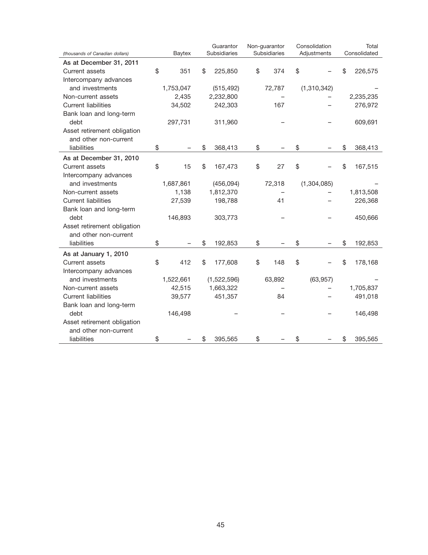|                                 |               | Guarantor     | Non-guarantor |        | Consolidation |             | Total |              |  |
|---------------------------------|---------------|---------------|---------------|--------|---------------|-------------|-------|--------------|--|
| (thousands of Canadian dollars) | <b>Baytex</b> | Subsidiaries  | Subsidiaries  |        | Adjustments   |             |       | Consolidated |  |
| As at December 31, 2011         |               |               |               |        |               |             |       |              |  |
| Current assets                  | \$<br>351     | \$<br>225,850 | \$            | 374    | \$            |             |       | 226,575      |  |
| Intercompany advances           |               |               |               |        |               |             |       |              |  |
| and investments                 | 1,753,047     | (515, 492)    |               | 72,787 |               | (1,310,342) |       |              |  |
| Non-current assets              | 2,435         | 2,232,800     |               |        |               |             |       | 2,235,235    |  |
| <b>Current liabilities</b>      | 34,502        | 242,303       |               | 167    |               |             |       | 276,972      |  |
| Bank loan and long-term         |               |               |               |        |               |             |       |              |  |
| debt                            | 297,731       | 311,960       |               |        |               |             |       | 609,691      |  |
| Asset retirement obligation     |               |               |               |        |               |             |       |              |  |
| and other non-current           |               |               |               |        |               |             |       |              |  |
| liabilities                     | \$            | \$<br>368,413 | \$            |        | \$            |             | \$    | 368,413      |  |
| As at December 31, 2010         |               |               |               |        |               |             |       |              |  |
| Current assets                  | \$<br>15      | \$<br>167,473 | \$            | 27     | \$            |             | \$    | 167,515      |  |
| Intercompany advances           |               |               |               |        |               |             |       |              |  |
| and investments                 | 1,687,861     | (456,094)     |               | 72,318 |               | (1,304,085) |       |              |  |
| Non-current assets              | 1,138         | 1,812,370     |               |        |               |             |       | 1,813,508    |  |
| <b>Current liabilities</b>      | 27,539        | 198,788       |               | 41     |               |             |       | 226,368      |  |
| Bank loan and long-term         |               |               |               |        |               |             |       |              |  |
| debt                            | 146,893       | 303,773       |               |        |               |             |       | 450,666      |  |
| Asset retirement obligation     |               |               |               |        |               |             |       |              |  |
| and other non-current           |               |               |               |        |               |             |       |              |  |
| liabilities                     | \$            | \$<br>192,853 | \$            |        | \$            |             | \$    | 192,853      |  |
| As at January 1, 2010           |               |               |               |        |               |             |       |              |  |
| Current assets                  | \$<br>412     | \$<br>177,608 | \$            | 148    | \$            |             | \$    | 178,168      |  |
| Intercompany advances           |               |               |               |        |               |             |       |              |  |
| and investments                 | 1,522,661     | (1,522,596)   |               | 63,892 |               | (63, 957)   |       |              |  |
| Non-current assets              | 42,515        | 1,663,322     |               |        |               |             |       | 1,705,837    |  |
| <b>Current liabilities</b>      | 39,577        | 451,357       |               | 84     |               |             |       | 491,018      |  |
| Bank loan and long-term         |               |               |               |        |               |             |       |              |  |
| debt                            | 146,498       |               |               |        |               |             |       | 146,498      |  |
| Asset retirement obligation     |               |               |               |        |               |             |       |              |  |
| and other non-current           |               |               |               |        |               |             |       |              |  |
| liabilities                     | \$            | \$<br>395,565 | \$            |        | \$            |             | \$    | 395,565      |  |
|                                 |               |               |               |        |               |             |       |              |  |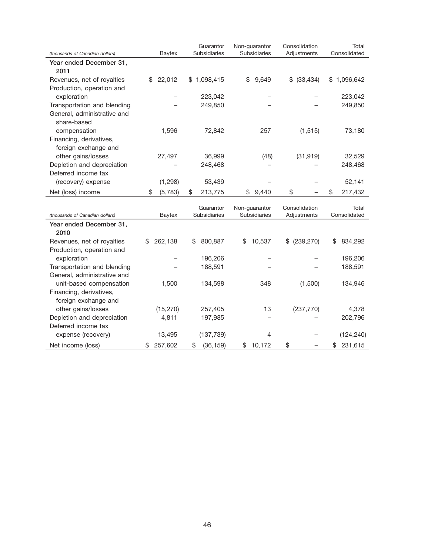|                                 | Baytex        | Guarantor<br>Subsidiaries | Non-guarantor<br>Subsidiaries | Consolidation<br>Adjustments   | Total<br>Consolidated |
|---------------------------------|---------------|---------------------------|-------------------------------|--------------------------------|-----------------------|
| (thousands of Canadian dollars) |               |                           |                               |                                |                       |
| Year ended December 31,         |               |                           |                               |                                |                       |
| 2011                            |               |                           |                               |                                |                       |
| Revenues, net of royalties      | 22,012<br>\$  | \$1,098,415               | 9,649<br>\$                   | \$ (33,434)                    | \$1,096,642           |
| Production, operation and       |               |                           |                               |                                |                       |
| exploration                     |               | 223,042                   |                               |                                | 223,042               |
| Transportation and blending     |               | 249,850                   |                               |                                | 249,850               |
| General, administrative and     |               |                           |                               |                                |                       |
| share-based                     |               |                           |                               |                                |                       |
| compensation                    | 1,596         | 72,842                    | 257                           | (1, 515)                       | 73,180                |
| Financing, derivatives,         |               |                           |                               |                                |                       |
| foreign exchange and            |               |                           |                               |                                |                       |
| other gains/losses              | 27,497        | 36,999                    | (48)                          | (31, 919)                      | 32,529                |
| Depletion and depreciation      |               | 248,468                   |                               |                                | 248,468               |
| Deferred income tax             |               |                           |                               |                                |                       |
| (recovery) expense              | (1, 298)      | 53,439                    |                               |                                | 52,141                |
| Net (loss) income               | (5,783)<br>\$ | \$<br>213,775             | \$<br>9,440                   | \$<br>$\overline{\phantom{0}}$ | \$<br>217,432         |
|                                 |               |                           |                               |                                |                       |
|                                 |               | Guarantor                 | Non-guarantor                 | Consolidation                  | Total                 |
| (thousands of Canadian dollars) | Baytex        | Subsidiaries              | Subsidiaries                  | Adjustments                    | Consolidated          |
| Year ended December 31,<br>2010 |               |                           |                               |                                |                       |
| Revenues, net of royalties      | 262,138<br>\$ | 800,887<br>S              | 10,537<br>\$                  | (239, 270)<br>\$               | 834,292<br>S          |
| Production, operation and       |               |                           |                               |                                |                       |
| exploration                     |               | 196,206                   |                               |                                | 196,206               |
| Transportation and blending     |               | 188,591                   |                               |                                | 188,591               |
| General, administrative and     |               |                           |                               |                                |                       |
| unit-based compensation         | 1,500         | 134,598                   | 348                           | (1,500)                        | 134,946               |
| Financing, derivatives,         |               |                           |                               |                                |                       |
| foreign exchange and            |               |                           |                               |                                |                       |
| other gains/losses              | (15, 270)     | 257,405                   | 13                            | (237, 770)                     | 4,378                 |
| Depletion and depreciation      | 4,811         | 197,985                   |                               |                                | 202,796               |
| Deferred income tax             |               |                           |                               |                                |                       |
| expense (recovery)              | 13,495        | (137, 739)                | 4                             |                                | (124, 240)            |
|                                 |               |                           |                               |                                |                       |
| Net income (loss)               | 257,602<br>\$ | \$<br>(36, 159)           | 10,172<br>\$                  | \$<br>$\qquad \qquad -$        | \$<br>231,615         |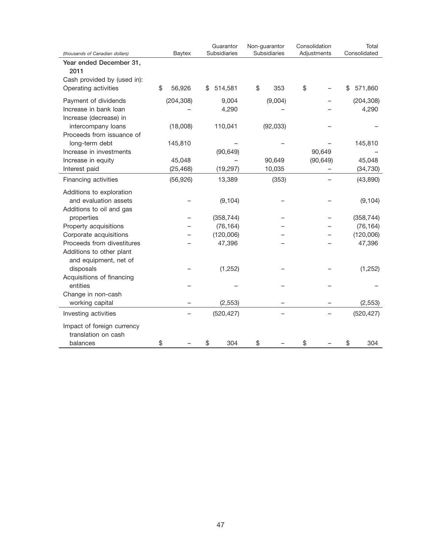|                                 |              |     | Guarantor    | Non-guarantor | Consolidation |           | Total |              |
|---------------------------------|--------------|-----|--------------|---------------|---------------|-----------|-------|--------------|
| (thousands of Canadian dollars) | Baytex       |     | Subsidiaries | Subsidiaries  | Adjustments   |           |       | Consolidated |
| Year ended December 31,         |              |     |              |               |               |           |       |              |
| 2011                            |              |     |              |               |               |           |       |              |
| Cash provided by (used in):     |              |     |              |               |               |           |       |              |
| Operating activities            | \$<br>56,926 | \$. | 514,581      | \$<br>353     | \$            |           | \$    | 571,860      |
| Payment of dividends            | (204, 308)   |     | 9,004        | (9,004)       |               |           |       | (204, 308)   |
| Increase in bank loan           |              |     | 4,290        |               |               |           |       | 4,290        |
| Increase (decrease) in          |              |     |              |               |               |           |       |              |
| intercompany loans              | (18,008)     |     | 110,041      | (92, 033)     |               |           |       |              |
| Proceeds from issuance of       |              |     |              |               |               |           |       |              |
| long-term debt                  | 145,810      |     |              |               |               |           |       | 145,810      |
| Increase in investments         |              |     | (90, 649)    |               |               | 90,649    |       |              |
| Increase in equity              | 45,048       |     |              | 90,649        |               | (90, 649) |       | 45,048       |
| Interest paid                   | (25, 468)    |     | (19, 297)    | 10,035        |               |           |       | (34, 730)    |
| Financing activities            | (56, 926)    |     | 13,389       | (353)         |               |           |       | (43, 890)    |
| Additions to exploration        |              |     |              |               |               |           |       |              |
| and evaluation assets           |              |     | (9, 104)     |               |               |           |       | (9, 104)     |
| Additions to oil and gas        |              |     |              |               |               |           |       |              |
| properties                      |              |     | (358, 744)   |               |               |           |       | (358, 744)   |
| Property acquisitions           |              |     | (76, 164)    |               |               |           |       | (76, 164)    |
| Corporate acquisitions          |              |     | (120,006)    |               |               |           |       | (120,006)    |
| Proceeds from divestitures      |              |     | 47,396       |               |               |           |       | 47,396       |
| Additions to other plant        |              |     |              |               |               |           |       |              |
| and equipment, net of           |              |     |              |               |               |           |       |              |
| disposals                       |              |     | (1, 252)     |               |               |           |       | (1, 252)     |
| Acquisitions of financing       |              |     |              |               |               |           |       |              |
| entities                        |              |     |              |               |               |           |       |              |
| Change in non-cash              |              |     |              |               |               |           |       |              |
| working capital                 |              |     | (2, 553)     |               |               |           |       | (2, 553)     |
| Investing activities            |              |     | (520, 427)   |               |               |           |       | (520, 427)   |
| Impact of foreign currency      |              |     |              |               |               |           |       |              |
| translation on cash             |              |     |              |               |               |           |       |              |
| balances                        | \$           | \$  | 304          | \$            | \$            |           | \$    | 304          |
|                                 |              |     |              |               |               |           |       |              |